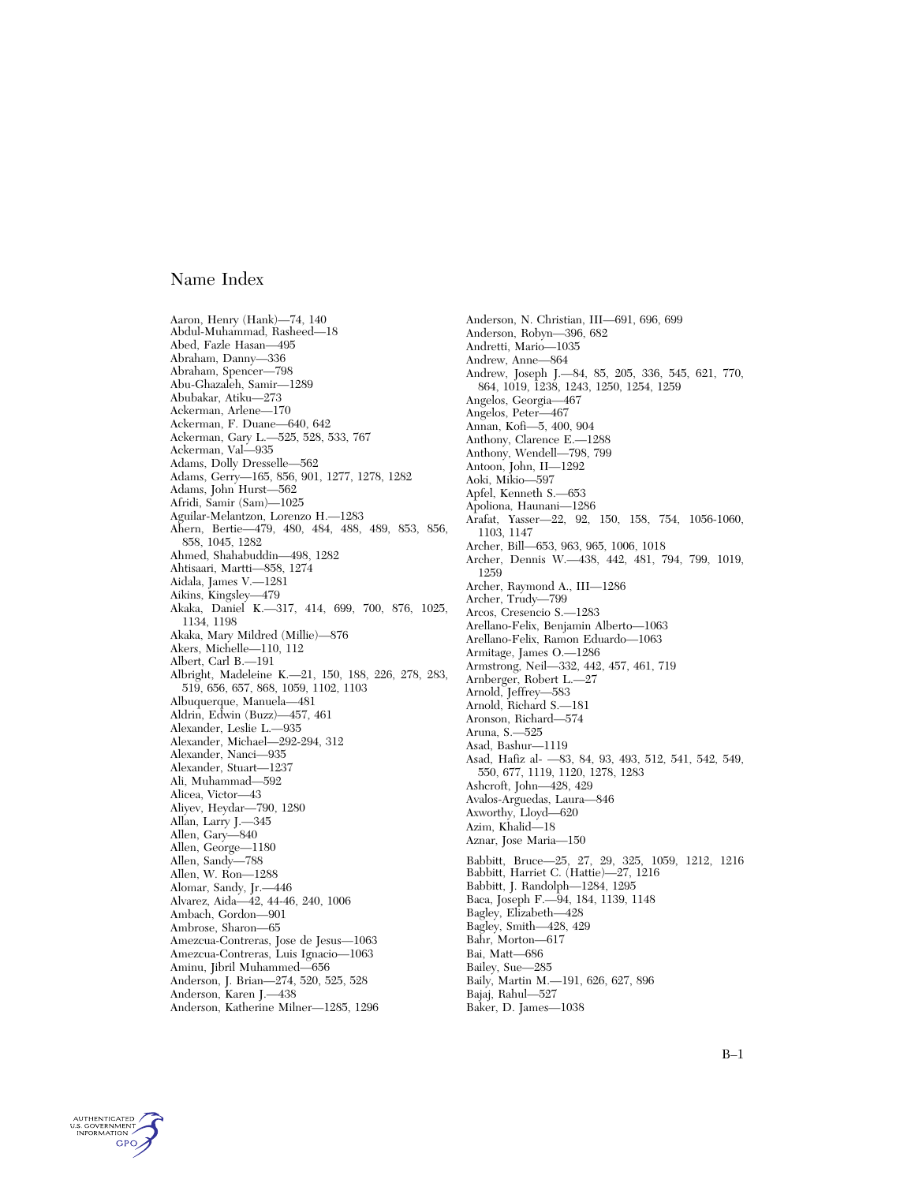Aaron, Henry (Hank)—74, 140 Abdul-Muhammad, Rasheed—18 Abed, Fazle Hasan—495 Abraham, Danny—336 Abraham, Spencer—798 Abu-Ghazaleh, Samir—1289 Abubakar, Atiku—273 Ackerman, Arlene—170 Ackerman, F. Duane—640, 642 Ackerman, Gary L.—525, 528, 533, 767 Ackerman, Val—935 Adams, Dolly Dresselle—562 Adams, Gerry—165, 856, 901, 1277, 1278, 1282 Adams, John Hurst—562 Afridi, Samir (Sam)—1025 Aguilar-Melantzon, Lorenzo H.—1283 Ahern, Bertie—479, 480, 484, 488, 489, 853, 856, 858, 1045, 1282 Ahmed, Shahabuddin—498, 1282 Ahtisaari, Martti—858, 1274 Aidala, James V.—1281 Aikins, Kingsley—479 Akaka, Daniel K.—317, 414, 699, 700, 876, 1025, 1134, 1198 Akaka, Mary Mildred (Millie)—876 Akers, Michelle—110, 112 Albert, Carl B.—191 Albright, Madeleine K.—21, 150, 188, 226, 278, 283, 519, 656, 657, 868, 1059, 1102, 1103 Albuquerque, Manuela—481 Aldrin, Edwin (Buzz)—457, 461 Alexander, Leslie L.—935 Alexander, Michael—292-294, 312 Alexander, Nanci—935 Alexander, Stuart—1237 Ali, Muhammad—592 Alicea, Victor—43 Aliyev, Heydar—790, 1280 Allan, Larry J.—345 Allen, Gary—840 Allen, George—1180 Allen, Sandy—788 Allen, W. Ron—1288 Alomar, Sandy, Jr.—446 Alvarez, Aida—42, 44-46, 240, 1006 Ambach, Gordon—901 Ambrose, Sharon—65 Amezcua-Contreras, Jose de Jesus—1063 Amezcua-Contreras, Luis Ignacio—1063 Aminu, Jibril Muhammed—656 Anderson, J. Brian—274, 520, 525, 528 Anderson, Karen J.—438 Anderson, Katherine Milner—1285, 1296

Anderson, N. Christian, III—691, 696, 699 Anderson, Robyn—396, 682 Andretti, Mario—1035 Andrew, Anne—864 Andrew, Joseph J.—84, 85, 205, 336, 545, 621, 770, 864, 1019, 1238, 1243, 1250, 1254, 1259 Angelos, Georgia—467 Angelos, Peter—467 Annan, Kofi—5, 400, 904 Anthony, Clarence E.—1288 Anthony, Wendell—798, 799 Antoon, John, II—1292 Aoki, Mikio—597 Apfel, Kenneth S.—653 Apoliona, Haunani—1286 Arafat, Yasser—22, 92, 150, 158, 754, 1056-1060, 1103, 1147 Archer, Bill—653, 963, 965, 1006, 1018 Archer, Dennis W.—438, 442, 481, 794, 799, 1019, 1259 Archer, Raymond A., III—1286 Archer, Trudy—799 Arcos, Cresencio S.—1283 Arellano-Felix, Benjamin Alberto—1063 Arellano-Felix, Ramon Eduardo—1063 Armitage, James O.—1286 Armstrong, Neil—332, 442, 457, 461, 719 Arnberger, Robert L.—27 Arnold, Jeffrey—583 Arnold, Richard S.—181 Aronson, Richard—574 Aruna, S.—525 Asad, Bashur—1119 Asad, Hafiz al- —83, 84, 93, 493, 512, 541, 542, 549, 550, 677, 1119, 1120, 1278, 1283 Ashcroft, John—428, 429 Avalos-Arguedas, Laura—846 Axworthy, Lloyd—620 Azim, Khalid—18 Aznar, Jose Maria—150 Babbitt, Bruce—25, 27, 29, 325, 1059, 1212, 1216 Babbitt, Harriet C. (Hattie)—27, 1216 Babbitt, J. Randolph—1284, 1295 Baca, Joseph F.—94, 184, 1139, 1148 Bagley, Elizabeth—428 Bagley, Smith—428, 429 Bahr, Morton—617 Bai, Matt—686 Bailey, Sue—285 Baily, Martin M.—191, 626, 627, 896 Bajaj, Rahul—527

Baker, D. James—1038

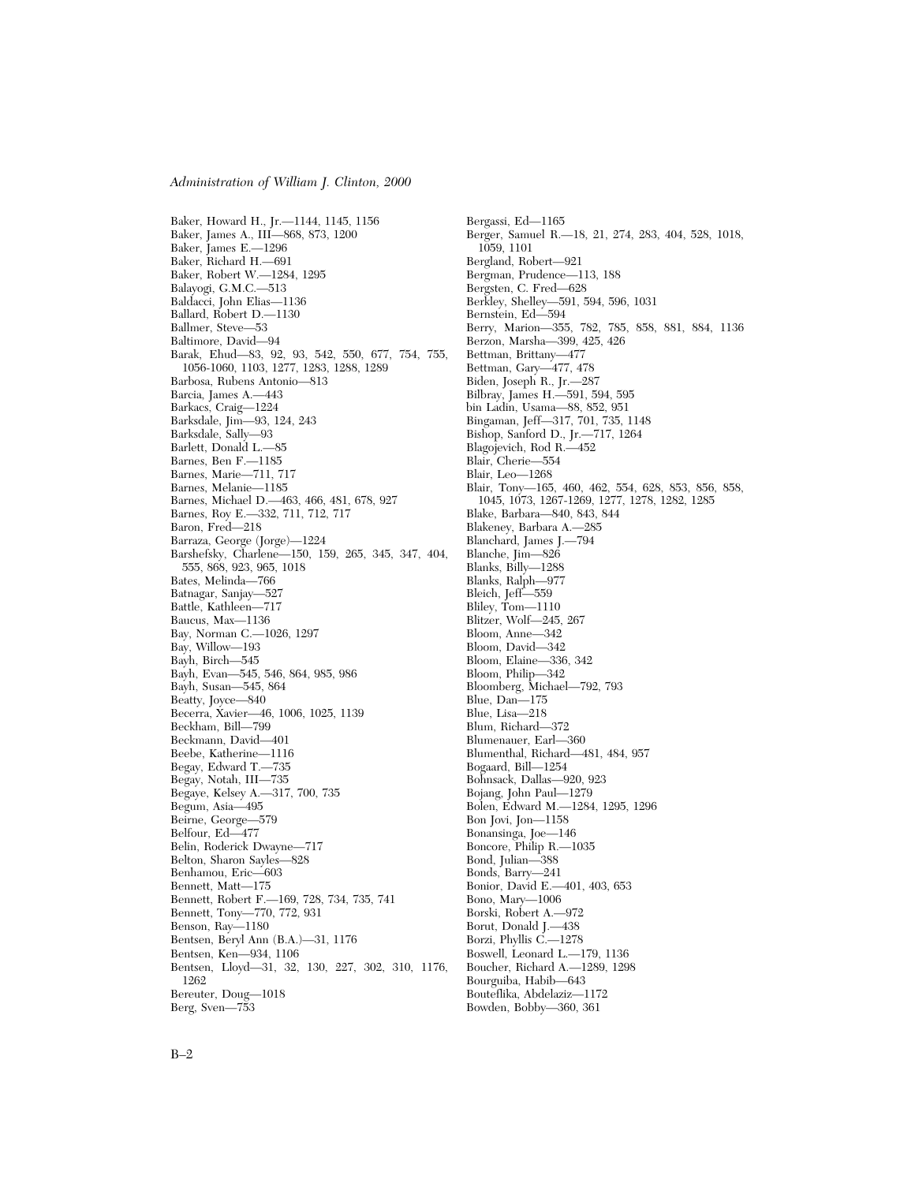Baker, Howard H., Jr.—1144, 1145, 1156 Baker, James A., III—868, 873, 1200 Baker, James E.—1296 Baker, Richard H.—691 Baker, Robert W.—1284, 1295 Balayogi, G.M.C.—513 Baldacci, John Elias—1136 Ballard, Robert D.—1130 Ballmer, Steve—53 Baltimore, David—94 Barak, Ehud—83, 92, 93, 542, 550, 677, 754, 755, 1056-1060, 1103, 1277, 1283, 1288, 1289 Barbosa, Rubens Antonio—813 Barcia, James A.—443 Barkacs, Craig—1224 Barksdale, Jim—93, 124, 243 Barksdale, Sally—93 Barlett, Donald L.—85 Barnes, Ben F.—1185 Barnes, Marie—711, 717 Barnes, Melanie—1185 Barnes, Michael D.—463, 466, 481, 678, 927 Barnes, Roy E.—332, 711, 712, 717 Baron, Fred—218 Barraza, George (Jorge)—1224 Barshefsky, Charlene—150, 159, 265, 345, 347, 404, 555, 868, 923, 965, 1018 Bates, Melinda—766 Batnagar, Sanjay—527 Battle, Kathleen—717 Baucus, Max—1136 Bay, Norman C.—1026, 1297 Bay, Willow—193 Bayh, Birch—545 Bayh, Evan—545, 546, 864, 985, 986 Bayh, Susan—545, 864 Beatty, Joyce—840 Becerra, Xavier—46, 1006, 1025, 1139 Beckham, Bill—799 Beckmann, David—401 Beebe, Katherine—1116 Begay, Edward T.—735 Begay, Notah, III—735 Begaye, Kelsey A.—317, 700, 735 Begum, Asia—495 Beirne, George—579 Belfour, Ed—477 Belin, Roderick Dwayne—717 Belton, Sharon Sayles—828 Benhamou, Eric—603 Bennett, Matt—175 Bennett, Robert F.—169, 728, 734, 735, 741 Bennett, Tony—770, 772, 931 Benson, Ray—1180 Bentsen, Beryl Ann (B.A.)—31, 1176 Bentsen, Ken—934, 1106 Bentsen, Lloyd—31, 32, 130, 227, 302, 310, 1176, 1262 Bereuter, Doug—1018 Berg, Sven—753

Bergassi, Ed—1165 Berger, Samuel R.—18, 21, 274, 283, 404, 528, 1018, 1059, 1101 Bergland, Robert—921 Bergman, Prudence—113, 188 Bergsten, C. Fred—628 Berkley, Shelley—591, 594, 596, 1031 Bernstein, Ed—594 Berry, Marion—355, 782, 785, 858, 881, 884, 1136 Berzon, Marsha—399, 425, 426 Bettman, Brittany—477 Bettman, Gary—477, 478 Biden, Joseph R., Jr.—287 Bilbray, James H.—591, 594, 595 bin Ladin, Usama—88, 852, 951 Bingaman, Jeff—317, 701, 735, 1148 Bishop, Sanford D., Jr.—717, 1264 Blagojevich, Rod R.—452 Blair, Cherie—554 Blair, Leo—1268 Blair, Tony—165, 460, 462, 554, 628, 853, 856, 858, 1045, 1073, 1267-1269, 1277, 1278, 1282, 1285 Blake, Barbara—840, 843, 844 Blakeney, Barbara A.—285 Blanchard, James J.—794 Blanche, Jim—826 Blanks, Billy—1288 Blanks, Ralph—977 Bleich, Jeff—559 Bliley, Tom—1110 Blitzer, Wolf—245, 267 Bloom, Anne—342 Bloom, David—342 Bloom, Elaine—336, 342 Bloom, Philip—342 Bloomberg, Michael—792, 793 Blue, Dan—175 Blue, Lisa—218 Blum, Richard—372 Blumenauer, Earl—360 Blumenthal, Richard—481, 484, 957 Bogaard, Bill—1254 Bohnsack, Dallas—920, 923 Bojang, John Paul—1279 Bolen, Edward M.—1284, 1295, 1296 Bon Jovi, Jon—1158 Bonansinga, Joe—146 Boncore, Philip R.—1035 Bond, Julian—388 Bonds, Barry—241 Bonior, David E.—401, 403, 653 Bono, Mary—1006 Borski, Robert A.—972 Borut, Donald J.—438 Borzi, Phyllis C.—1278 Boswell, Leonard L.—179, 1136 Boucher, Richard A.—1289, 1298 Bourguiba, Habib—643 Bouteflika, Abdelaziz—1172

Bowden, Bobby—360, 361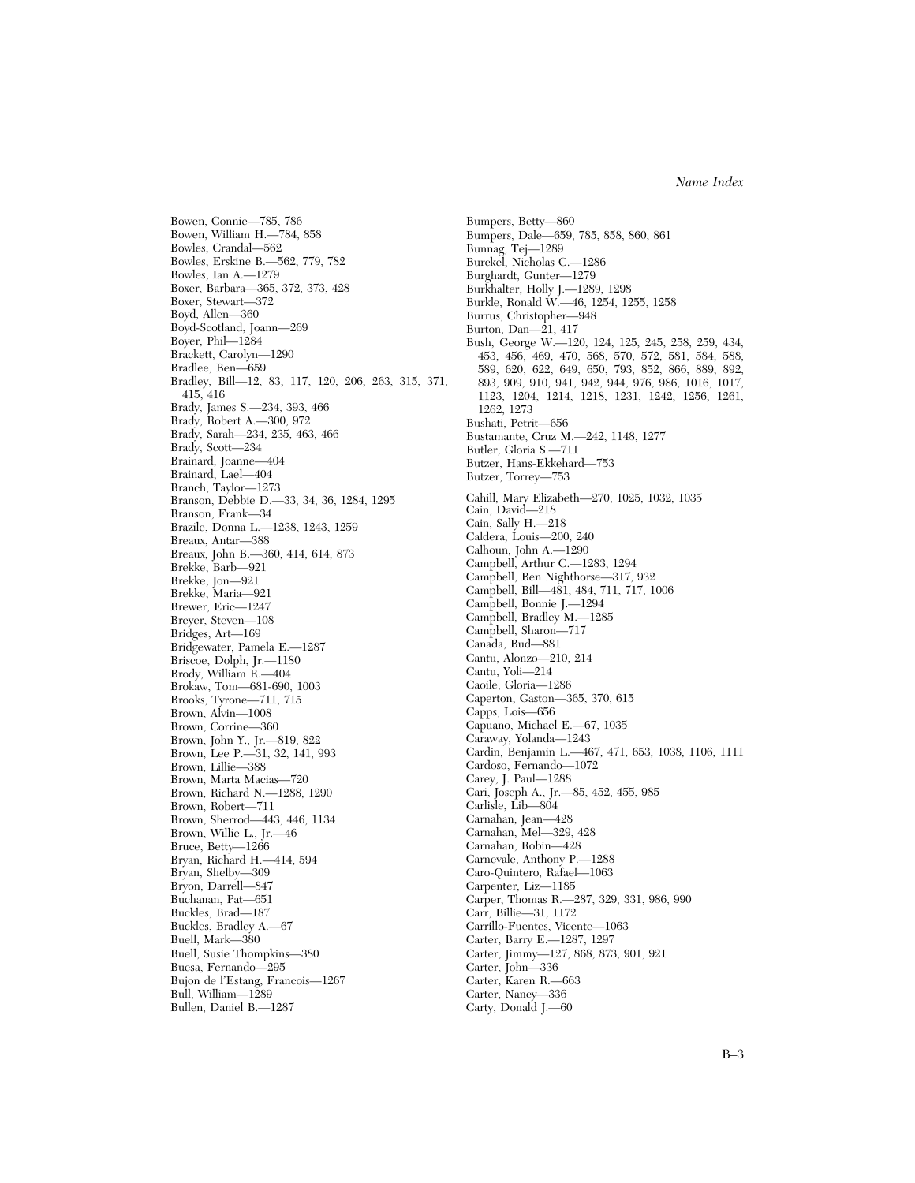Bowen, Connie—785, 786 Bowen, William H.—784, 858 Bowles, Crandal—562 Bowles, Erskine B.—562, 779, 782 Bowles, Ian A.—1279 Boxer, Barbara—365, 372, 373, 428 Boxer, Stewart—372 Boyd, Allen—360 Boyd-Scotland, Joann—269 Boyer, Phil—1284 Brackett, Carolyn—1290 Bradlee, Ben—659 Bradley, Bill—12, 83, 117, 120, 206, 263, 315, 371, 415, 416 Brady, James S.—234, 393, 466 Brady, Robert A.—300, 972 Brady, Sarah—234, 235, 463, 466 Brady, Scott—234 Brainard, Joanne—404 Brainard, Lael—404 Branch, Taylor—1273 Branson, Debbie D.—33, 34, 36, 1284, 1295 Branson, Frank—34 Brazile, Donna L.—1238, 1243, 1259 Breaux, Antar—388 Breaux, John B.—360, 414, 614, 873 Brekke, Barb—921 Brekke, Jon—921 Brekke, Maria—921 Brewer, Eric—1247 Breyer, Steven—108 Bridges, Art—169 Bridgewater, Pamela E.—1287 Briscoe, Dolph, Jr.—1180 Brody, William R.—404 Brokaw, Tom—681-690, 1003 Brooks, Tyrone—711, 715 Brown, Alvin—1008 Brown, Corrine—360 Brown, John Y., Jr.—819, 822 Brown, Lee P.—31, 32, 141, 993 Brown, Lillie—388 Brown, Marta Macias—720 Brown, Richard N.—1288, 1290 Brown, Robert—711 Brown, Sherrod—443, 446, 1134 Brown, Willie L., Jr.—46 Bruce, Betty—1266 Bryan, Richard H.—414, 594 Bryan, Shelby—309 Bryon, Darrell—847 Buchanan, Pat—651 Buckles, Brad—187 Buckles, Bradley A.—67 Buell, Mark—380 Buell, Susie Thompkins—380 Buesa, Fernando—295 Bujon de l'Estang, Francois—1267 Bull, William—1289 Bullen, Daniel B.—1287

Bumpers, Dale—659, 785, 858, 860, 861 Bunnag, Tej—1289 Burckel, Nicholas C.—1286 Burghardt, Gunter—1279 Burkhalter, Holly J.—1289, 1298 Burkle, Ronald W.—46, 1254, 1255, 1258 Burrus, Christopher—948 Burton, Dan—21, 417 Bush, George W.—120, 124, 125, 245, 258, 259, 434, 453, 456, 469, 470, 568, 570, 572, 581, 584, 588, 589, 620, 622, 649, 650, 793, 852, 866, 889, 892, 893, 909, 910, 941, 942, 944, 976, 986, 1016, 1017, 1123, 1204, 1214, 1218, 1231, 1242, 1256, 1261, 1262, 1273 Bushati, Petrit—656 Bustamante, Cruz M.—242, 1148, 1277 Butler, Gloria S.—711 Butzer, Hans-Ekkehard—753 Butzer, Torrey—753 Cahill, Mary Elizabeth—270, 1025, 1032, 1035 Cain, David—218 Cain, Sally H.—218 Caldera, Louis—200, 240 Calhoun, John A.—1290 Campbell, Arthur C.—1283, 1294 Campbell, Ben Nighthorse—317, 932 Campbell, Bill—481, 484, 711, 717, 1006 Campbell, Bonnie J.—1294 Campbell, Bradley M.—1285 Campbell, Sharon—717 Canada, Bud—881 Cantu, Alonzo—210, 214 Cantu, Yoli—214 Caoile, Gloria—1286 Caperton, Gaston—365, 370, 615 Capps, Lois—656 Capuano, Michael E.—67, 1035 Caraway, Yolanda—1243 Cardin, Benjamin L.—467, 471, 653, 1038, 1106, 1111 Cardoso, Fernando—1072 Carey, J. Paul—1288 Cari, Joseph A., Jr.—85, 452, 455, 985 Carlisle, Lib—804 Carnahan, Jean—428 Carnahan, Mel—329, 428 Carnahan, Robin—428 Carnevale, Anthony P.—1288 Caro-Quintero, Rafael—1063 Carpenter, Liz—1185 Carper, Thomas R.—287, 329, 331, 986, 990 Carr, Billie—31, 1172 Carrillo-Fuentes, Vicente—1063 Carter, Barry E.—1287, 1297 Carter, Jimmy—127, 868, 873, 901, 921 Carter, John—336 Carter, Karen R.—663 Carter, Nancy—336 Carty, Donald J.—60

Bumpers, Betty—860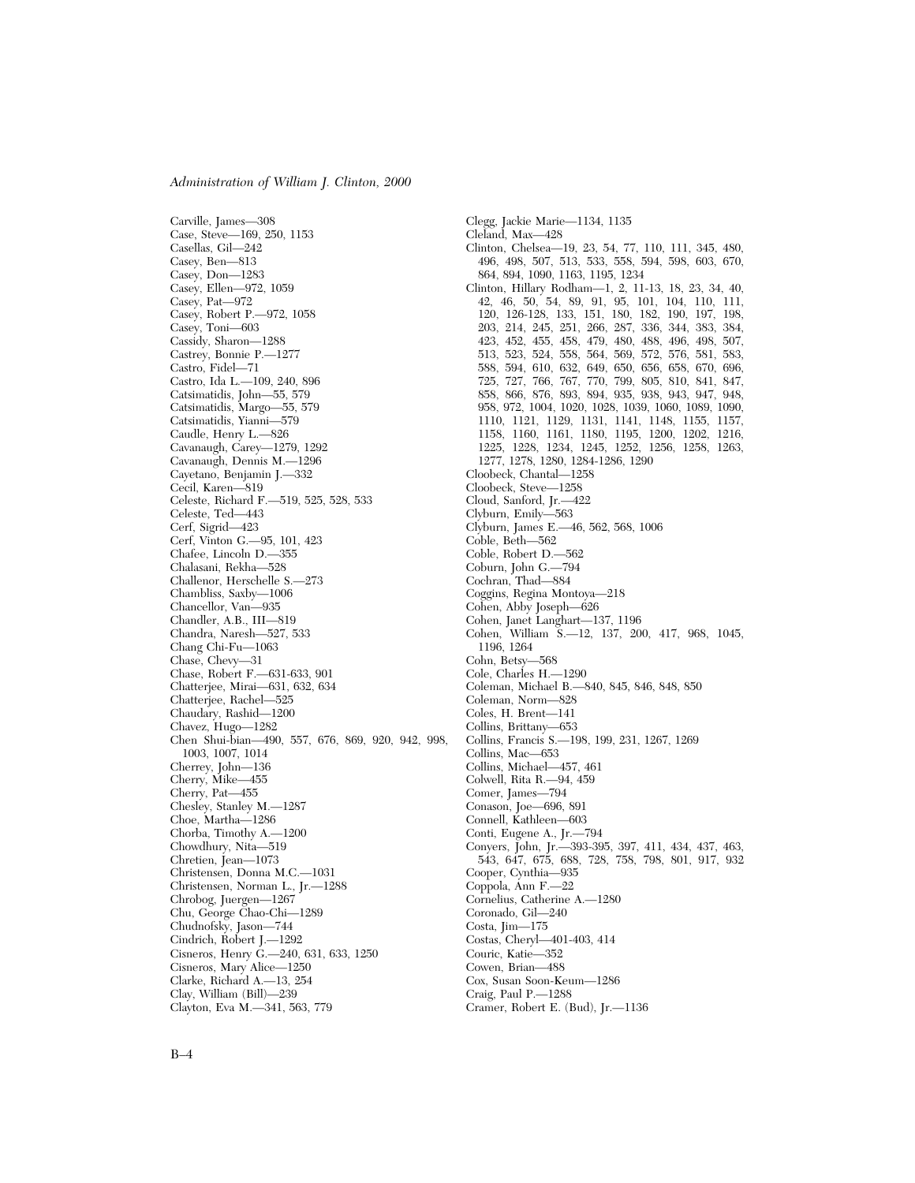Carville, James—308 Case, Steve—169, 250, 1153 Casellas, Gil—242 Casey, Ben—813 Casey, Don—1283 Casey, Ellen—972, 1059 Casey, Pat—972 Casey, Robert P.—972, 1058 Casey, Toni—603 Cassidy, Sharon—1288 Castrey, Bonnie P.—1277 Castro, Fidel—71 Castro, Ida L.—109, 240, 896 Catsimatidis, John—55, 579 Catsimatidis, Margo—55, 579 Catsimatidis, Yianni—579 Caudle, Henry L.—826 Cavanaugh, Carey—1279, 1292 Cavanaugh, Dennis M.—1296 Cayetano, Benjamin J.—332 Cecil, Karen—819 Celeste, Richard F.—519, 525, 528, 533 Celeste, Ted—443 Cerf, Sigrid—423 Cerf, Vinton G.—95, 101, 423 Chafee, Lincoln D.—355 Chalasani, Rekha—528 Challenor, Herschelle S.—273 Chambliss, Saxby—1006 Chancellor, Van—935 Chandler, A.B., III—819 Chandra, Naresh—527, 533 Chang Chi-Fu—1063 Chase, Chevy—31 Chase, Robert F.—631-633, 901 Chatterjee, Mirai—631, 632, 634 Chatterjee, Rachel—525 Chaudary, Rashid—1200 Chavez, Hugo—1282 Chen Shui-bian—490, 557, 676, 869, 920, 942, 998, 1003, 1007, 1014 Cherrey, John—136 Cherry, Mike—455 Cherry, Pat—455 Chesley, Stanley M.—1287 Choe, Martha—1286 Chorba, Timothy A.—1200 Chowdhury, Nita—519 Chretien, Jean-1073 Christensen, Donna M.C.—1031 Christensen, Norman L., Jr.—1288 Chrobog, Juergen—1267 Chu, George Chao-Chi—1289 Chudnofsky, Jason—744 Cindrich, Robert J.—1292 Cisneros, Henry G.—240, 631, 633, 1250 Cisneros, Mary Alice—1250 Clarke, Richard A.—13, 254 Clay, William (Bill)—239 Clayton, Eva M.—341, 563, 779

Clegg, Jackie Marie—1134, 1135 Cleland, Max—428 Clinton, Chelsea—19, 23, 54, 77, 110, 111, 345, 480, 496, 498, 507, 513, 533, 558, 594, 598, 603, 670, 864, 894, 1090, 1163, 1195, 1234 Clinton, Hillary Rodham—1, 2, 11-13, 18, 23, 34, 40, 42, 46, 50, 54, 89, 91, 95, 101, 104, 110, 111, 120, 126-128, 133, 151, 180, 182, 190, 197, 198, 203, 214, 245, 251, 266, 287, 336, 344, 383, 384, 423, 452, 455, 458, 479, 480, 488, 496, 498, 507, 513, 523, 524, 558, 564, 569, 572, 576, 581, 583, 588, 594, 610, 632, 649, 650, 656, 658, 670, 696, 725, 727, 766, 767, 770, 799, 805, 810, 841, 847, 858, 866, 876, 893, 894, 935, 938, 943, 947, 948, 958, 972, 1004, 1020, 1028, 1039, 1060, 1089, 1090, 1110, 1121, 1129, 1131, 1141, 1148, 1155, 1157, 1158, 1160, 1161, 1180, 1195, 1200, 1202, 1216, 1225, 1228, 1234, 1245, 1252, 1256, 1258, 1263, 1277, 1278, 1280, 1284-1286, 1290 Cloobeck, Chantal—1258 Cloobeck, Steve—1258 Cloud, Sanford, Jr.—422 Clyburn, Emily—563 Clyburn, James E.—46, 562, 568, 1006 Coble, Beth—562 Coble, Robert D.—562 Coburn, John G.—794 Cochran, Thad—884 Coggins, Regina Montoya—218 Cohen, Abby Joseph—626 Cohen, Janet Langhart—137, 1196 Cohen, William S.—12, 137, 200, 417, 968, 1045, 1196, 1264 Cohn, Betsy—568 Cole, Charles H.—1290 Coleman, Michael B.—840, 845, 846, 848, 850 Coleman, Norm—828 Coles, H. Brent—141 Collins, Brittany—653 Collins, Francis S.—198, 199, 231, 1267, 1269 Collins, Mac—653 Collins, Michael—457, 461 Colwell, Rita R.—94, 459 Comer, James—794 Conason, Joe—696, 891 Connell, Kathleen—603 Conti, Eugene A., Jr.—794 Conyers, John, Jr.—393-395, 397, 411, 434, 437, 463, 543, 647, 675, 688, 728, 758, 798, 801, 917, 932 Cooper, Cynthia—935 Coppola, Ann F.—22 Cornelius, Catherine A.—1280 Coronado, Gil—240 Costa, Jim—175 Costas, Cheryl—401-403, 414 Couric, Katie—352 Cowen, Brian—488 Cox, Susan Soon-Keum—1286 Craig, Paul P.—1288 Cramer, Robert E. (Bud), Jr.—1136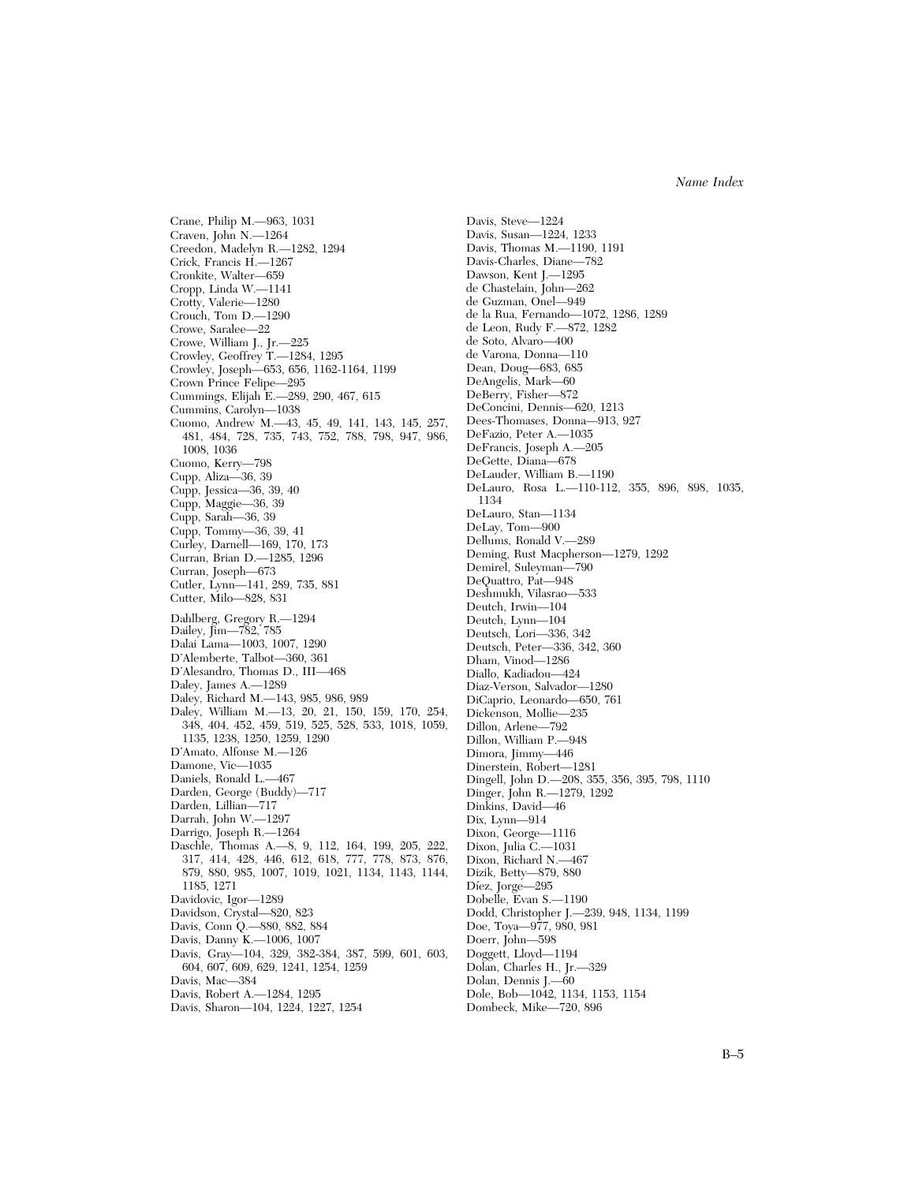Crane, Philip M.—963, 1031 Craven, John N.—1264 Creedon, Madelyn R.—1282, 1294 Crick, Francis H.—1267 Cronkite, Walter—659 Cropp, Linda W.—1141 Crotty, Valerie—1280 Crouch, Tom D.—1290 Crowe, Saralee—22 Crowe, William J., Jr.—225 Crowley, Geoffrey T.—1284, 1295 Crowley, Joseph—653, 656, 1162-1164, 1199 Crown Prince Felipe—295 Cummings, Elijah E.—289, 290, 467, 615 Cummins, Carolyn—1038 Cuomo, Andrew M.—43, 45, 49, 141, 143, 145, 257, 481, 484, 728, 735, 743, 752, 788, 798, 947, 986, 1008, 1036 Cuomo, Kerry—798 Cupp, Aliza—36, 39 Cupp, Jessica—36, 39, 40 Cupp, Maggie—36, 39 Cupp, Sarah—36, 39 Cupp, Tommy—36, 39, 41 Curley, Darnell—169, 170, 173 Curran, Brian D.—1285, 1296 Curran, Joseph—673 Cutler, Lynn—141, 289, 735, 881 Cutter, Milo—828, 831 Dahlberg, Gregory R.—1294 Dailey, Jim—782, 785 Dalai Lama—1003, 1007, 1290 D'Alemberte, Talbot—360, 361 D'Alesandro, Thomas D., III—468 Daley, James A.—1289 Daley, Richard M.—143, 985, 986, 989 Daley, William M.—13, 20, 21, 150, 159, 170, 254, 348, 404, 452, 459, 519, 525, 528, 533, 1018, 1059, 1135, 1238, 1250, 1259, 1290 D'Amato, Alfonse M.—126 Damone, Vic—1035 Daniels, Ronald L.—467 Darden, George (Buddy)—717 Darden, Lillian—717 Darrah, John W.—1297 Darrigo, Joseph R.—1264 Daschle, Thomas A.—8, 9, 112, 164, 199, 205, 222, 317, 414, 428, 446, 612, 618, 777, 778, 873, 876, 879, 880, 985, 1007, 1019, 1021, 1134, 1143, 1144, 1185, 1271 Davidovic, Igor—1289 Davidson, Crystal—820, 823 Davis, Conn Q.—880, 882, 884 Davis, Danny K.—1006, 1007 Davis, Gray—104, 329, 382-384, 387, 599, 601, 603, 604, 607, 609, 629, 1241, 1254, 1259 Davis, Mac—384 Davis, Robert A.—1284, 1295

Davis, Sharon—104, 1224, 1227, 1254

Davis, Steve—1224 Davis, Susan—1224, 1233 Davis, Thomas M.—1190, 1191 Davis-Charles, Diane—782 Dawson, Kent J.—1295 de Chastelain, John—262 de Guzman, Onel—949 de la Rua, Fernando—1072, 1286, 1289 de Leon, Rudy F.—872, 1282 de Soto, Alvaro—400 de Varona, Donna—110 Dean, Doug—683, 685 DeAngelis, Mark—60 DeBerry, Fisher—872 DeConcini, Dennis—620, 1213 Dees-Thomases, Donna—913, 927 DeFazio, Peter A.—1035 DeFrancis, Joseph A.—205 DeGette, Diana—678 DeLauder, William B.—1190 DeLauro, Rosa L.—110-112, 355, 896, 898, 1035, 1134 DeLauro, Stan—1134 DeLay, Tom—900 Dellums, Ronald V.—289 Deming, Rust Macpherson—1279, 1292 Demirel, Suleyman—790 DeQuattro, Pat—948 Deshmukh, Vilasrao—533 Deutch, Irwin—104 Deutch, Lynn—104 Deutsch, Lori—336, 342 Deutsch, Peter—336, 342, 360 Dham, Vinod—1286 Diallo, Kadiadou—424 Diaz-Verson, Salvador—1280 DiCaprio, Leonardo—650, 761 Dickenson, Mollie—235 Dillon, Arlene—792 Dillon, William P.—948 Dimora, Jimmy—446 Dinerstein, Robert—1281 Dingell, John D.—208, 355, 356, 395, 798, 1110 Dinger, John R.—1279, 1292 Dinkins, David—46 Dix, Lynn—914 Dixon, George—1116 Dixon, Julia C.—1031 Dixon, Richard N.—467 Dizik, Betty—879, 880 Díez, Jorge—295 Dobelle, Evan S.—1190 Dodd, Christopher J.—239, 948, 1134, 1199 Doe, Toya—977, 980, 981 Doerr, John—598 Doggett, Lloyd—1194 Dolan, Charles H., Jr.—329 Dolan, Dennis J.—60 Dole, Bob—1042, 1134, 1153, 1154

Dombeck, Mike—720, 896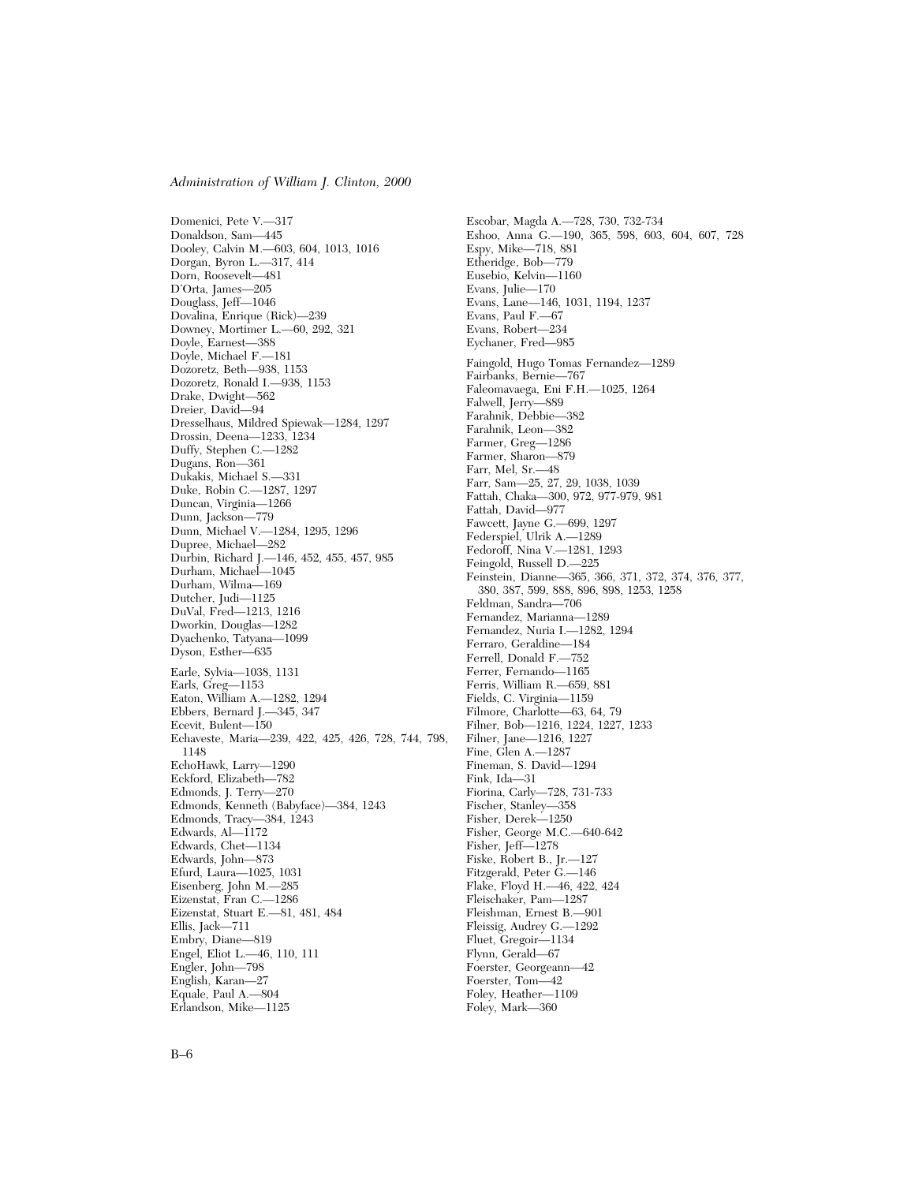Domenici, Pete V.—317 Donaldson, Sam—445 Dooley, Calvin M.—603, 604, 1013, 1016 Dorgan, Byron L.—317, 414 Dorn, Roosevelt—481 D'Orta, James—205 Douglass, Jeff—1046 Dovalina, Enrique (Rick)—239 Downey, Mortimer L.—60, 292, 321 Doyle, Earnest—388 Doyle, Michael F.—181 Dozoretz, Beth—938, 1153 Dozoretz, Ronald I.—938, 1153 Drake, Dwight—562 Dreier, David—94 Dresselhaus, Mildred Spiewak—1284, 1297 Drossin, Deena—1233, 1234 Duffy, Stephen C.—1282 Dugans, Ron—361 Dukakis, Michael S.—331 Duke, Robin C.—1287, 1297 Duncan, Virginia—1266 Dunn, Jackson—779 Dunn, Michael V.—1284, 1295, 1296 Dupree, Michael—282 Durbin, Richard J.—146, 452, 455, 457, 985 Durham, Michael—1045 Durham, Wilma—169 Dutcher, Judi—1125 DuVal, Fred—1213, 1216 Dworkin, Douglas—1282 Dyachenko, Tatyana—1099 Dyson, Esther—635 Earle, Sylvia—1038, 1131 Earls, Greg—1153 Eaton, William A.—1282, 1294 Ebbers, Bernard J.—345, 347 Ecevit, Bulent—150 Echaveste, Maria—239, 422, 425, 426, 728, 744, 798, 1148 EchoHawk, Larry—1290 Eckford, Elizabeth—782 Edmonds, J. Terry—270 Edmonds, Kenneth (Babyface)—384, 1243 Edmonds, Tracy—384, 1243 Edwards, Al—1172 Edwards, Chet—1134 Edwards, John—873 Efurd, Laura—1025, 1031 Eisenberg, John M.—285 Eizenstat, Fran C.—1286 Eizenstat, Stuart E.—81, 481, 484 Ellis, Jack—711 Embry, Diane—819 Engel, Eliot L.—46, 110, 111 Engler, John—798 English, Karan—27 Equale, Paul A.—804 Erlandson, Mike—1125

Escobar, Magda A.—728, 730, 732-734 Eshoo, Anna G.—190, 365, 598, 603, 604, 607, 728 Espy, Mike—718, 881 Etheridge, Bob—779 Eusebio, Kelvin—1160 Evans, Julie—170 Evans, Lane—146, 1031, 1194, 1237 Evans, Paul F.—67 Evans, Robert—234 Eychaner, Fred—985 Faingold, Hugo Tomas Fernandez—1289 Fairbanks, Bernie—767 Faleomavaega, Eni F.H.—1025, 1264 Falwell, Jerry—889 Farahnik, Debbie—382 Farahnik, Leon—382 Farmer, Greg—1286 Farmer, Sharon—879 Farr, Mel, Sr.—48 Farr, Sam—25, 27, 29, 1038, 1039 Fattah, Chaka—300, 972, 977-979, 981 Fattah, David—977 Fawcett, Jayne G.—699, 1297 Federspiel, Ulrik A.—1289 Fedoroff, Nina V.—1281, 1293 Feingold, Russell D.—225 Feinstein, Dianne—365, 366, 371, 372, 374, 376, 377, 380, 387, 599, 888, 896, 898, 1253, 1258 Feldman, Sandra—706 Fernandez, Marianna—1289 Fernandez, Nuria I.—1282, 1294 Ferraro, Geraldine—184 Ferrell, Donald F.—752 Ferrer, Fernando—1165 Ferris, William R.—659, 881 Fields, C. Virginia—1159 Filmore, Charlotte—63, 64, 79 Filner, Bob—1216, 1224, 1227, 1233 Filner, Jane—1216, 1227 Fine, Glen A.—1287 Fineman, S. David—1294 Fink, Ida—31 Fiorina, Carly—728, 731-733 Fischer, Stanley—358 Fisher, Derek—1250 Fisher, George M.C.—640-642 Fisher, Jeff—1278 Fiske, Robert B., Jr.—127 Fitzgerald, Peter G.—146 Flake, Floyd H.—46, 422, 424 Fleischaker, Pam—1287 Fleishman, Ernest B.—901 Fleissig, Audrey G.—1292 Fluet, Gregoir—1134 Flynn, Gerald—67 Foerster, Georgeann—42 Foerster, Tom—42 Foley, Heather—1109 Foley, Mark—360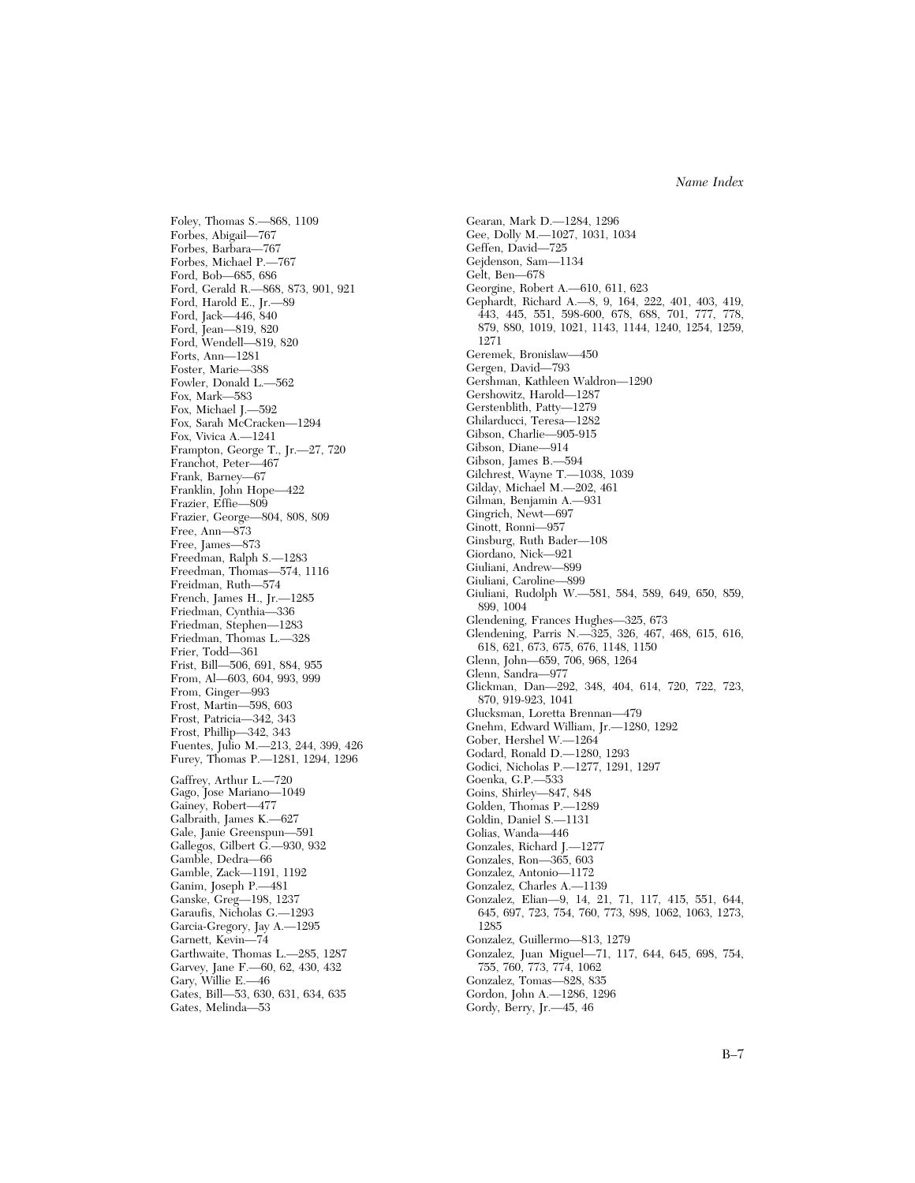Foley, Thomas S.—868, 1109 Forbes, Abigail—767 Forbes, Barbara—767 Forbes, Michael P.—767 Ford, Bob—685, 686 Ford, Gerald R.—868, 873, 901, 921 Ford, Harold E., Jr.—89 Ford, Jack—446, 840 Ford, Jean—819, 820 Ford, Wendell—819, 820 Forts, Ann—1281 Foster, Marie—388 Fowler, Donald L.—562 Fox, Mark—583 Fox, Michael J.—592 Fox, Sarah McCracken—1294 Fox, Vivica A.—1241 Frampton, George T., Jr.—27, 720 Franchot, Peter—467 Frank, Barney—67 Franklin, John Hope—422 Frazier, Effie—809 Frazier, George—804, 808, 809 Free, Ann—873 Free, James—873 Freedman, Ralph S.—1283 Freedman, Thomas—574, 1116 Freidman, Ruth—574 French, James H., Jr.—1285 Friedman, Cynthia—336 Friedman, Stephen—1283 Friedman, Thomas L.—328 Frier, Todd—361 Frist, Bill—506, 691, 884, 955 From, Al—603, 604, 993, 999 From, Ginger—993 Frost, Martin—598, 603 Frost, Patricia—342, 343 Frost, Phillip—342, 343 Fuentes, Julio M.—213, 244, 399, 426 Furey, Thomas P.—1281, 1294, 1296 Gaffrey, Arthur L.—720 Gago, Jose Mariano—1049 Gainey, Robert—477 Galbraith, James K.—627 Gale, Janie Greenspun—591 Gallegos, Gilbert G.—930, 932 Gamble, Dedra—66 Gamble, Zack—1191, 1192 Ganim, Joseph P.—481 Ganske, Greg—198, 1237 Garaufis, Nicholas G.—1293 Garcia-Gregory, Jay A.—1295 Garnett, Kevin—74 Garthwaite, Thomas L.—285, 1287 Garvey, Jane F.—60, 62, 430, 432 Gary, Willie E.—46 Gates, Bill—53, 630, 631, 634, 635 Gates, Melinda—53

Gearan, Mark D.—1284, 1296 Gee, Dolly M.—1027, 1031, 1034 Geffen, David—725 Gejdenson, Sam—1134 Gelt, Ben—678 Georgine, Robert A.—610, 611, 623 Gephardt, Richard A.—8, 9, 164, 222, 401, 403, 419, 443, 445, 551, 598-600, 678, 688, 701, 777, 778, 879, 880, 1019, 1021, 1143, 1144, 1240, 1254, 1259, 1271 Geremek, Bronislaw—450 Gergen, David—793 Gershman, Kathleen Waldron—1290 Gershowitz, Harold—1287 Gerstenblith, Patty—1279 Ghilarducci, Teresa—1282 Gibson, Charlie—905-915 Gibson, Diane—914 Gibson, James B.—594 Gilchrest, Wayne T.—1038, 1039 Gilday, Michael M.—202, 461 Gilman, Benjamin A.—931 Gingrich, Newt—697 Ginott, Ronni—957 Ginsburg, Ruth Bader—108 Giordano, Nick—921 Giuliani, Andrew—899 Giuliani, Caroline—899 Giuliani, Rudolph W.—581, 584, 589, 649, 650, 859, 899, 1004 Glendening, Frances Hughes—325, 673 Glendening, Parris N.—325, 326, 467, 468, 615, 616, 618, 621, 673, 675, 676, 1148, 1150 Glenn, John—659, 706, 968, 1264 Glenn, Sandra—977 Glickman, Dan—292, 348, 404, 614, 720, 722, 723, 870, 919-923, 1041 Glucksman, Loretta Brennan—479 Gnehm, Edward William, Jr.—1280, 1292 Gober, Hershel W.—1264 Godard, Ronald D.—1280, 1293 Godici, Nicholas P.—1277, 1291, 1297 Goenka, G.P.—533 Goins, Shirley—847, 848 Golden, Thomas P.—1289 Goldin, Daniel S.—1131 Golias, Wanda—446 Gonzales, Richard J.—1277 Gonzales, Ron—365, 603 Gonzalez, Antonio—1172 Gonzalez, Charles A.—1139 Gonzalez, Elian—9, 14, 21, 71, 117, 415, 551, 644, 645, 697, 723, 754, 760, 773, 898, 1062, 1063, 1273, 1285 Gonzalez, Guillermo—813, 1279 Gonzalez, Juan Miguel—71, 117, 644, 645, 698, 754, 755, 760, 773, 774, 1062 Gonzalez, Tomas—828, 835 Gordon, John A.—1286, 1296 Gordy, Berry, Jr.—45, 46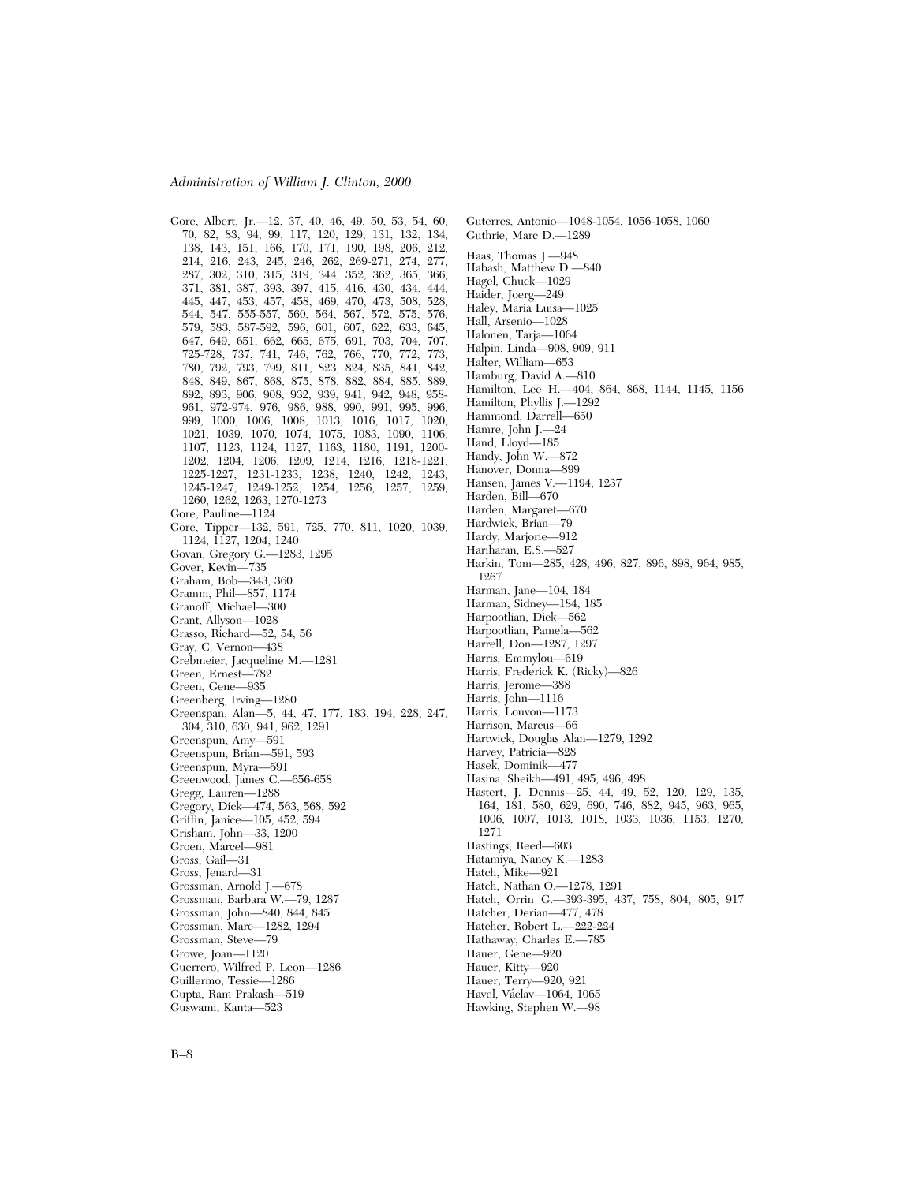Gore, Albert, Jr. - 12, 37, 40, 46, 49, 50, 53, 54, 60, 70, 82, 83, 94, 99, 117, 120, 129, 131, 132, 134, 138, 143, 151, 166, 170, 171, 190, 198, 206, 212, 214, 216, 243, 245, 246, 262, 269-271, 274, 277, 287, 302, 310, 315, 319, 344, 352, 362, 365, 366, 371, 381, 387, 393, 397, 415, 416, 430, 434, 444, 445, 447, 453, 457, 458, 469, 470, 473, 508, 528, 544, 547, 555-557, 560, 564, 567, 572, 575, 576, 579, 583, 587-592, 596, 601, 607, 622, 633, 645, 647, 649, 651, 662, 665, 675, 691, 703, 704, 707, 725-728, 737, 741, 746, 762, 766, 770, 772, 773, 780, 792, 793, 799, 811, 823, 824, 835, 841, 842, 848, 849, 867, 868, 875, 878, 882, 884, 885, 889, 892, 893, 906, 908, 932, 939, 941, 942, 948, 958- 961, 972-974, 976, 986, 988, 990, 991, 995, 996, 999, 1000, 1006, 1008, 1013, 1016, 1017, 1020, 1021, 1039, 1070, 1074, 1075, 1083, 1090, 1106, 1107, 1123, 1124, 1127, 1163, 1180, 1191, 1200- 1202, 1204, 1206, 1209, 1214, 1216, 1218-1221, 1225-1227, 1231-1233, 1238, 1240, 1242, 1243, 1245-1247, 1249-1252, 1254, 1256, 1257, 1259, 1260, 1262, 1263, 1270-1273 Gore, Pauline—1124 Gore, Tipper—132, 591, 725, 770, 811, 1020, 1039, 1124, 1127, 1204, 1240 Govan, Gregory G.—1283, 1295 Gover, Kevin—735 Graham, Bob—343, 360 Gramm, Phil—857, 1174 Granoff, Michael—300 Grant, Allyson—1028 Grasso, Richard—52, 54, 56 Gray, C. Vernon—438 Grebmeier, Jacqueline M.—1281 Green, Ernest—782 Green, Gene—935 Greenberg, Irving—1280 Greenspan, Alan—5, 44, 47, 177, 183, 194, 228, 247, 304, 310, 630, 941, 962, 1291 Greenspun, Amy—591 Greenspun, Brian—591, 593 Greenspun, Myra—591 Greenwood, James C.—656-658 Gregg, Lauren—1288 Gregory, Dick—474, 563, 568, 592 Griffin, Janice—105, 452, 594 Grisham, John—33, 1200 Groen, Marcel—981 Gross, Gail—31 Gross, Jenard—31 Grossman, Arnold J.—678 Grossman, Barbara W.—79, 1287 Grossman, John—840, 844, 845 Grossman, Marc—1282, 1294 Grossman, Steve—79 Growe, Joan—1120 Guerrero, Wilfred P. Leon—1286 Guillermo, Tessie—1286 Gupta, Ram Prakash—519 Guswami, Kanta—523

Guterres, Antonio—1048-1054, 1056-1058, 1060 Guthrie, Marc D.—1289 Haas, Thomas J.—948 Habash, Matthew D.—840 Hagel, Chuck—1029 Haider, Joerg—249 Haley, Maria Luisa—1025 Hall, Arsenio—1028 Halonen, Tarja—1064 Halpin, Linda—908, 909, 911 Halter, William—653 Hamburg, David A.—810 Hamilton, Lee H.—404, 864, 868, 1144, 1145, 1156 Hamilton, Phyllis J.—1292 Hammond, Darrell—650 Hamre, John J.—24 Hand, Lloyd—185 Handy, John W.—872 Hanover, Donna—899 Hansen, James V.—1194, 1237 Harden, Bill—670 Harden, Margaret—670 Hardwick, Brian—79 Hardy, Marjorie—912 Hariharan, E.S.—527 Harkin, Tom—285, 428, 496, 827, 896, 898, 964, 985, 1267 Harman, Jane—104, 184 Harman, Sidney—184, 185 Harpootlian, Dick—562 Harpootlian, Pamela—562 Harrell, Don—1287, 1297 Harris, Emmylou—619 Harris, Frederick K. (Ricky)—826 Harris, Jerome—388 Harris, John—1116 Harris, Louvon—1173 Harrison, Marcus—66 Hartwick, Douglas Alan—1279, 1292 Harvey, Patricia—828 Hasek, Dominik—477 Hasina, Sheikh—491, 495, 496, 498 Hastert, J. Dennis—25, 44, 49, 52, 120, 129, 135, 164, 181, 580, 629, 690, 746, 882, 945, 963, 965, 1006, 1007, 1013, 1018, 1033, 1036, 1153, 1270, 1271 Hastings, Reed—603 Hatamiya, Nancy K.—1283 Hatch, Mike—921 Hatch, Nathan O.—1278, 1291 Hatch, Orrin G.—393-395, 437, 758, 804, 805, 917 Hatcher, Derian—477, 478 Hatcher, Robert L.—222-224 Hathaway, Charles E.—785 Hauer, Gene—920 Hauer, Kitty—920 Hauer, Terry—920, 921 Havel, Václav-1064, 1065 Hawking, Stephen W.—98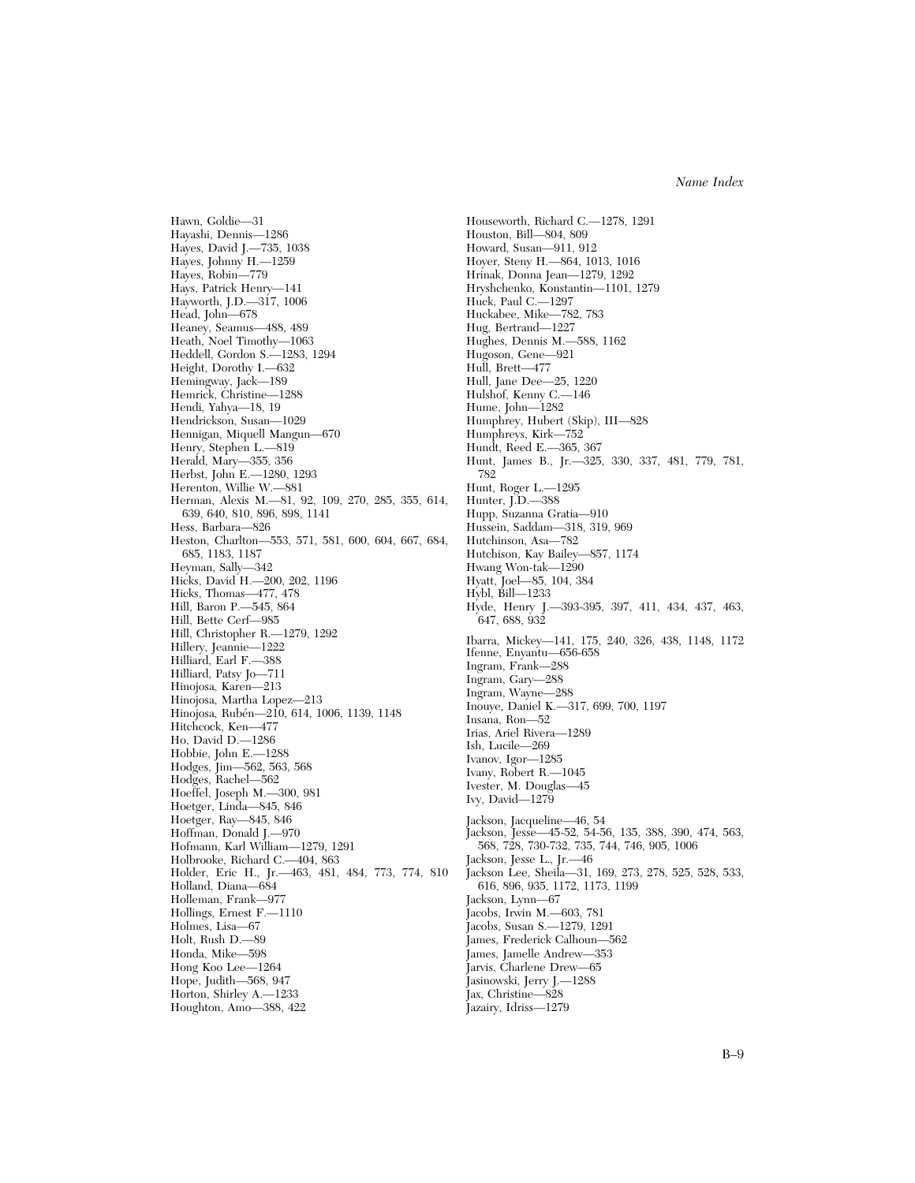Hayashi, Dennis—1286 Hayes, David J.—735, 1038 Hayes, Johnny H.—1259 Hayes, Robin—779 Hays, Patrick Henry—141 Hayworth, J.D.—317, 1006 Head, John—678 Heaney, Seamus—488, 489 Heath, Noel Timothy—1063 Heddell, Gordon S.—1283, 1294 Height, Dorothy I.—632 Hemingway, Jack—189 Hemrick, Christine—1288 Hendi, Yahya—18, 19 Hendrickson, Susan—1029 Hennigan, Miquell Mangun—670 Henry, Stephen L.—819 Herald, Mary—355, 356 Herbst, John E.—1280, 1293 Herenton, Willie W.—881 Herman, Alexis M.—81, 92, 109, 270, 285, 355, 614, 639, 640, 810, 896, 898, 1141 Hess, Barbara—826 Heston, Charlton—553, 571, 581, 600, 604, 667, 684, 685, 1183, 1187 Heyman, Sally—342 Hicks, David H.—200, 202, 1196 Hicks, Thomas—477, 478 Hill, Baron P.—545, 864 Hill, Bette Cerf—985 Hill, Christopher R.—1279, 1292 Hillery, Jeannie—1222 Hilliard, Earl F.—388 Hilliard, Patsy Jo—711 Hinojosa, Karen—213 Hinojosa, Martha Lopez—213 Hinojosa, Rubén—210, 614, 1006, 1139, 1148 Hitchcock, Ken—477 Ho, David D.—1286 Hobbie, John E.—1288 Hodges, Jim—562, 563, 568 Hodges, Rachel—562 Hoeffel, Joseph M.—300, 981 Hoetger, Linda—845, 846 Hoetger, Ray—845, 846 Hoffman, Donald J.—970 Hofmann, Karl William—1279, 1291 Holbrooke, Richard C.—404, 863 Holder, Eric H., Jr.—463, 481, 484, 773, 774, 810 Holland, Diana—684 Holleman, Frank—977 Hollings, Ernest F.—1110 Holmes, Lisa—67 Holt, Rush D.—89 Honda, Mike—598 Hong Koo Lee—1264 Hope, Judith—568, 947 Horton, Shirley A.—1233 Houghton, Amo—388, 422

Hawn, Goldie—31

Houseworth, Richard C.—1278, 1291 Houston, Bill—804, 809 Howard, Susan—911, 912 Hoyer, Steny H.—864, 1013, 1016 Hrinak, Donna Jean—1279, 1292 Hryshchenko, Konstantin—1101, 1279 Huck, Paul C.—1297 Huckabee, Mike—782, 783 Hug, Bertrand—1227 Hughes, Dennis M.—588, 1162 Hugoson, Gene—921 Hull, Brett—477 Hull, Jane Dee—25, 1220 Hulshof, Kenny C.—146 Hume, John—1282 Humphrey, Hubert (Skip), III—828 Humphreys, Kirk—752 Hundt, Reed E.—365, 367 Hunt, James B., Jr.—325, 330, 337, 481, 779, 781, 782 Hunt, Roger L.—1295 Hunter, J.D.—388 Hupp, Suzanna Gratia—910 Hussein, Saddam—318, 319, 969 Hutchinson, Asa—782 Hutchison, Kay Bailey—857, 1174 Hwang Won-tak—1290 Hyatt, Joel—85, 104, 384 Hybl, Bill—1233 Hyde, Henry J.—393-395, 397, 411, 434, 437, 463, 647, 688, 932 Ibarra, Mickey—141, 175, 240, 326, 438, 1148, 1172 Ifenne, Enyantu—656-658 Ingram, Frank—288 Ingram, Gary—288 Ingram, Wayne—288 Inouye, Daniel K.—317, 699, 700, 1197 Insana, Ron—52 Irias, Ariel Rivera—1289 Ish, Lucile—269 Ivanov, Igor—1285 Ivany, Robert R.—1045 Ivester, M. Douglas—45 Ivy, David—1279 Jackson, Jacqueline—46, 54 Jackson, Jesse—45-52, 54-56, 135, 388, 390, 474, 563, 568, 728, 730-732, 735, 744, 746, 905, 1006 Jackson, Jesse L., Jr.—46 Jackson Lee, Sheila—31, 169, 273, 278, 525, 528, 533, 616, 896, 935, 1172, 1173, 1199 Jackson, Lynn—67 Jacobs, Irwin M.—603, 781 Jacobs, Susan S.—1279, 1291 James, Frederick Calhoun—562 James, Jamelle Andrew—353 Jarvis, Charlene Drew—65 Jasinowski, Jerry J.—1288 Jax, Christine—828 Jazairy, Idriss—1279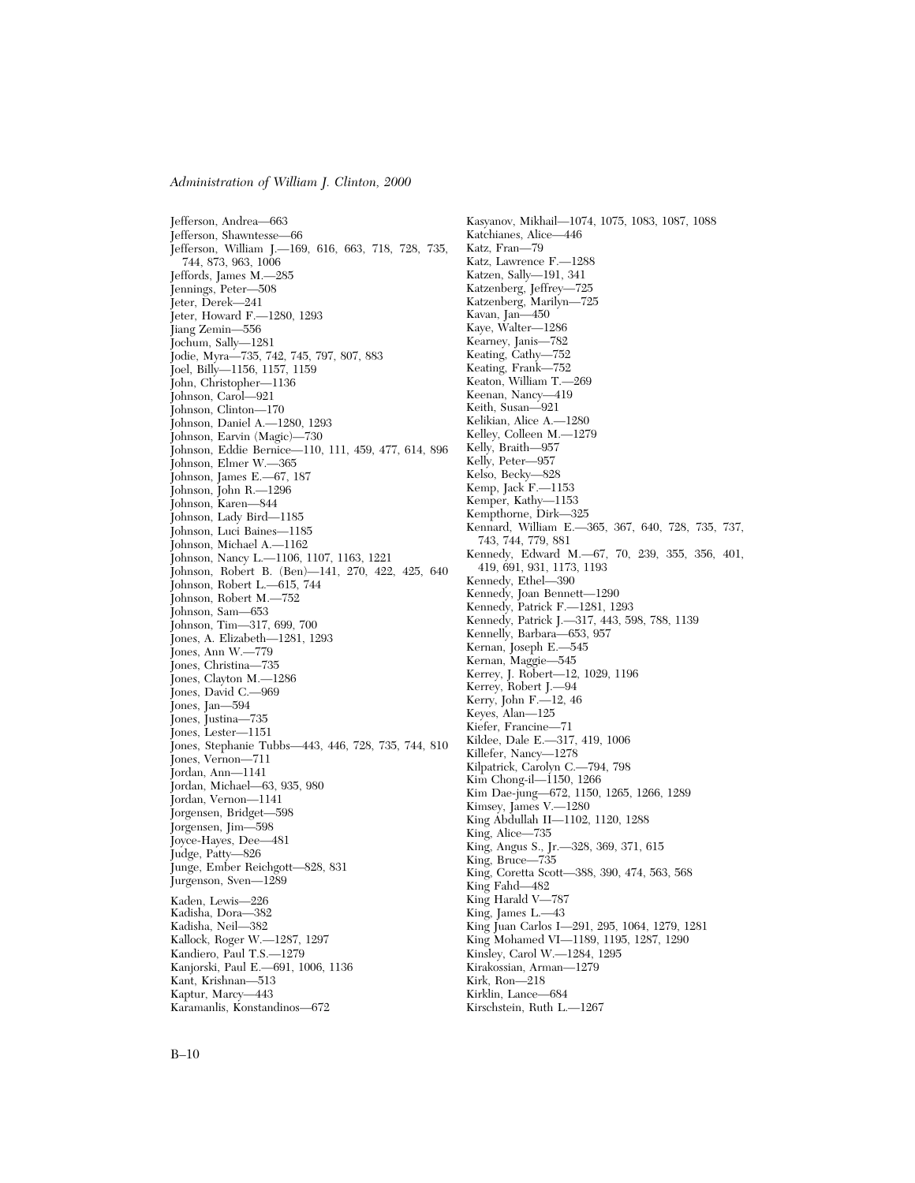Jefferson, Andrea—663 Jefferson, Shawntesse—66 Jefferson, William J.—169, 616, 663, 718, 728, 735, 744, 873, 963, 1006 Jeffords, James M.—285 Jennings, Peter—508 Jeter, Derek—241 Jeter, Howard F.—1280, 1293 Jiang Zemin—556 Jochum, Sally—1281 Jodie, Myra—735, 742, 745, 797, 807, 883 Joel, Billy—1156, 1157, 1159 John, Christopher—1136 Johnson, Carol—921 Johnson, Clinton—170 Johnson, Daniel A.—1280, 1293 Johnson, Earvin (Magic)—730 Johnson, Eddie Bernice—110, 111, 459, 477, 614, 896 Johnson, Elmer W.—365 Johnson, James E.—67, 187 Johnson, John R.—1296 Johnson, Karen—844 Johnson, Lady Bird—1185 Johnson, Luci Baines—1185 Johnson, Michael A.—1162 Johnson, Nancy L.—1106, 1107, 1163, 1221 Johnson, Robert B. (Ben)—141, 270, 422, 425, 640 Johnson, Robert L.—615, 744 Johnson, Robert M.—752 Johnson, Sam—653 Johnson, Tim—317, 699, 700 Jones, A. Elizabeth—1281, 1293 Jones, Ann W.—779 Jones, Christina—735 Jones, Clayton M.—1286 Jones, David C.—969 Jones, Jan—594 Jones, Justina—735 Jones, Lester—1151 Jones, Stephanie Tubbs—443, 446, 728, 735, 744, 810 Jones, Vernon—711 Jordan, Ann—1141 Jordan, Michael—63, 935, 980 Jordan, Vernon—1141 Jorgensen, Bridget—598 Jorgensen, Jim—598 Joyce-Hayes, Dee—481 Judge, Patty—826 Junge, Ember Reichgott—828, 831 Jurgenson, Sven—1289 Kaden, Lewis—226 Kadisha, Dora—382 Kadisha, Neil—382 Kallock, Roger W.—1287, 1297 Kandiero, Paul T.S.—1279 Kanjorski, Paul E.—691, 1006, 1136 Kant, Krishnan—513 Kaptur, Marcy—443 Karamanlis, Konstandinos—672

Kasyanov, Mikhail—1074, 1075, 1083, 1087, 1088 Katchianes, Alice—446 Katz, Fran—79 Katz, Lawrence F.—1288 Katzen, Sally—191, 341 Katzenberg, Jeffrey—725 Katzenberg, Marilyn—725 Kavan, Jan—450 Kaye, Walter—1286 Kearney, Janis—782 Keating, Cathy—752 Keating, Frank—752 Keaton, William T.—269 Keenan, Nancy—419 Keith, Susan—921 Kelikian, Alice A.—1280 Kelley, Colleen M.—1279 Kelly, Braith—957 Kelly, Peter—957 Kelso, Becky—828 Kemp, Jack F.—1153 Kemper, Kathy—1153 Kempthorne, Dirk—325 Kennard, William E.—365, 367, 640, 728, 735, 737, 743, 744, 779, 881 Kennedy, Edward M.—67, 70, 239, 355, 356, 401, 419, 691, 931, 1173, 1193 Kennedy, Ethel—390 Kennedy, Joan Bennett—1290 Kennedy, Patrick F.—1281, 1293 Kennedy, Patrick J.—317, 443, 598, 788, 1139 Kennelly, Barbara—653, 957 Kernan, Joseph E.—545 Kernan, Maggie—545 Kerrey, J. Robert—12, 1029, 1196 Kerrey, Robert J.—94 Kerry, John F.—12, 46 Keyes, Alan—125 Kiefer, Francine—71 Kildee, Dale E.—317, 419, 1006 Killefer, Nancy—1278 Kilpatrick, Carolyn C.—794, 798 Kim Chong-il—1150, 1266 Kim Dae-jung—672, 1150, 1265, 1266, 1289 Kimsey, James V.—1280 King Abdullah II—1102, 1120, 1288 King, Alice—735 King, Angus S., Jr.—328, 369, 371, 615 King, Bruce—735 King, Coretta Scott—388, 390, 474, 563, 568 King Fahd—482 King Harald V—787 King, James L.—43 King Juan Carlos I—291, 295, 1064, 1279, 1281 King Mohamed VI—1189, 1195, 1287, 1290 Kinsley, Carol W.—1284, 1295 Kirakossian, Arman—1279 Kirk, Ron—218 Kirklin, Lance—684 Kirschstein, Ruth L.—1267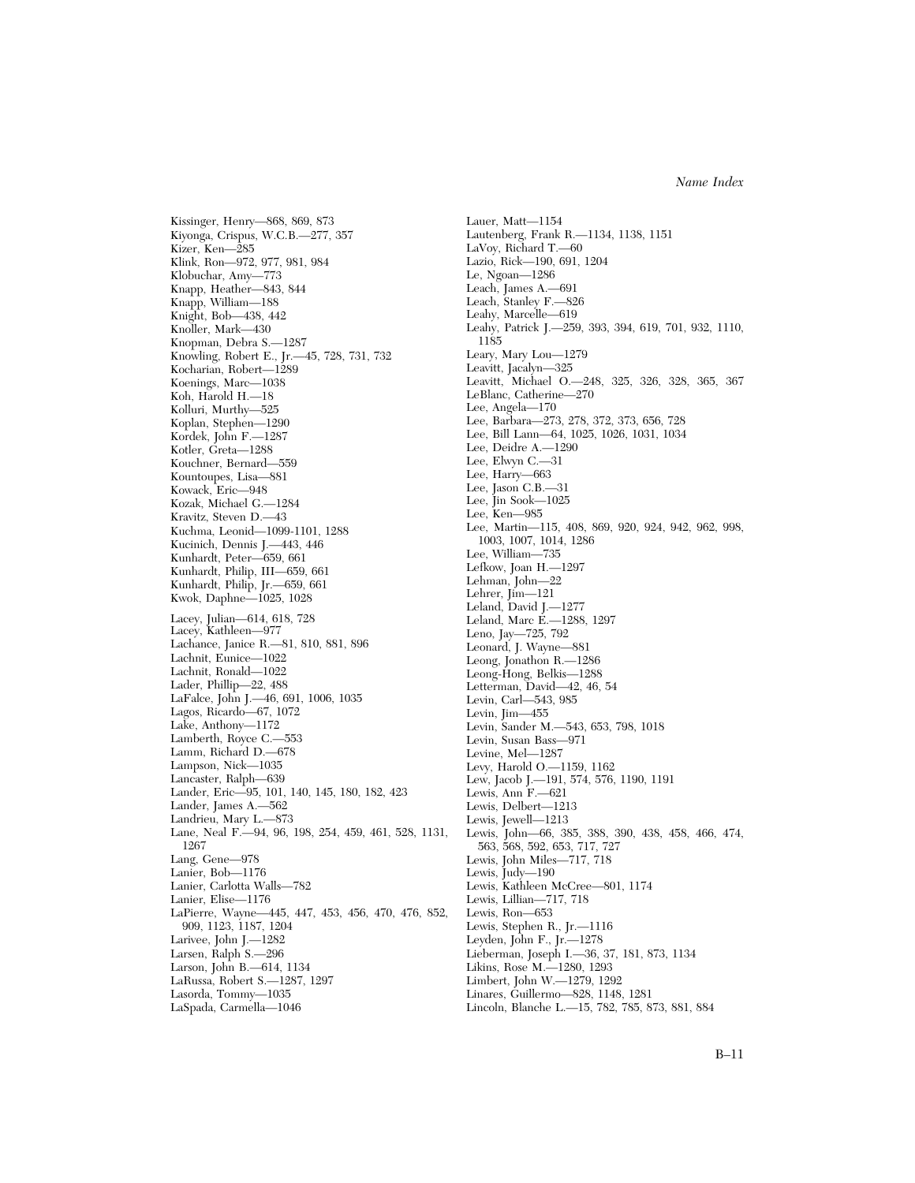Kiyonga, Crispus, W.C.B.—277, 357 Kizer, Ken—285 Klink, Ron—972, 977, 981, 984 Klobuchar, Amy—773 Knapp, Heather—843, 844 Knapp, William—188 Knight, Bob—438, 442 Knoller, Mark—430 Knopman, Debra S.—1287 Knowling, Robert E., Jr.—45, 728, 731, 732 Kocharian, Robert—1289 Koenings, Marc—1038 Koh, Harold H.—18 Kolluri, Murthy—525 Koplan, Stephen—1290 Kordek, John F.—1287 Kotler, Greta—1288 Kouchner, Bernard—559 Kountoupes, Lisa—881 Kowack, Eric—948 Kozak, Michael G.—1284 Kravitz, Steven D.—43 Kuchma, Leonid—1099-1101, 1288 Kucinich, Dennis J.—443, 446 Kunhardt, Peter—659, 661 Kunhardt, Philip, III—659, 661 Kunhardt, Philip, Jr.—659, 661 Kwok, Daphne—1025, 1028 Lacey, Julian—614, 618, 728 Lacey, Kathleen—977 Lachance, Janice R.—81, 810, 881, 896 Lachnit, Eunice—1022 Lachnit, Ronald—1022 Lader, Phillip—22, 488 LaFalce, John J.—46, 691, 1006, 1035 Lagos, Ricardo—67, 1072 Lake, Anthony—1172 Lamberth, Royce C.—553 Lamm, Richard D.—678 Lampson, Nick—1035 Lancaster, Ralph—639 Lander, Eric—95, 101, 140, 145, 180, 182, 423 Lander, James A.—562 Landrieu, Mary L.—873 Lane, Neal F.—94, 96, 198, 254, 459, 461, 528, 1131, 1267 Lang, Gene—978 Lanier, Bob—1176 Lanier, Carlotta Walls—782 Lanier, Elise—1176 LaPierre, Wayne—445, 447, 453, 456, 470, 476, 852, 909, 1123, 1187, 1204 Larivee, John J.—1282 Larsen, Ralph S.—296 Larson, John B.—614, 1134 LaRussa, Robert S.—1287, 1297 Lasorda, Tommy—1035 LaSpada, Carmella—1046

Kissinger, Henry—868, 869, 873

Lauer, Matt—1154 Lautenberg, Frank R.—1134, 1138, 1151 LaVoy, Richard T.—60 Lazio, Rick—190, 691, 1204 Le, Ngoan—1286 Leach, James A.—691 Leach, Stanley F.—826 Leahy, Marcelle—619 Leahy, Patrick J.—259, 393, 394, 619, 701, 932, 1110, 1185 Leary, Mary Lou—1279 Leavitt, Jacalyn—325 Leavitt, Michael O.—248, 325, 326, 328, 365, 367 LeBlanc, Catherine—270 Lee, Angela—170 Lee, Barbara—273, 278, 372, 373, 656, 728 Lee, Bill Lann—64, 1025, 1026, 1031, 1034 Lee, Deidre A.—1290 Lee, Elwyn C.—31 Lee, Harry—663 Lee, Jason C.B.—31 Lee, Jin Sook—1025 Lee, Ken—985 Lee, Martin—115, 408, 869, 920, 924, 942, 962, 998, 1003, 1007, 1014, 1286 Lee, William—735 Lefkow, Joan H.—1297 Lehman, John—22 Lehrer, Jim—121 Leland, David J.—1277 Leland, Marc E.—1288, 1297 Leno, Jay—725, 792 Leonard, J. Wayne—881 Leong, Jonathon R.—1286 Leong-Hong, Belkis—1288 Letterman, David—42, 46, 54 Levin, Carl—543, 985 Levin, Jim—455 Levin, Sander M.—543, 653, 798, 1018 Levin, Susan Bass—971 Levine, Mel—1287 Levy, Harold O.—1159, 1162 Lew, Jacob J.—191, 574, 576, 1190, 1191 Lewis, Ann F.—621 Lewis, Delbert—1213 Lewis, Jewell—1213 Lewis, John—66, 385, 388, 390, 438, 458, 466, 474, 563, 568, 592, 653, 717, 727 Lewis, John Miles—717, 718 Lewis, Judy—190 Lewis, Kathleen McCree—801, 1174 Lewis, Lillian—717, 718 Lewis, Ron—653 Lewis, Stephen R., Jr.—1116 Leyden, John F., Jr.—1278 Lieberman, Joseph I.—36, 37, 181, 873, 1134 Likins, Rose M.—1280, 1293 Limbert, John W.—1279, 1292 Linares, Guillermo—828, 1148, 1281 Lincoln, Blanche L.—15, 782, 785, 873, 881, 884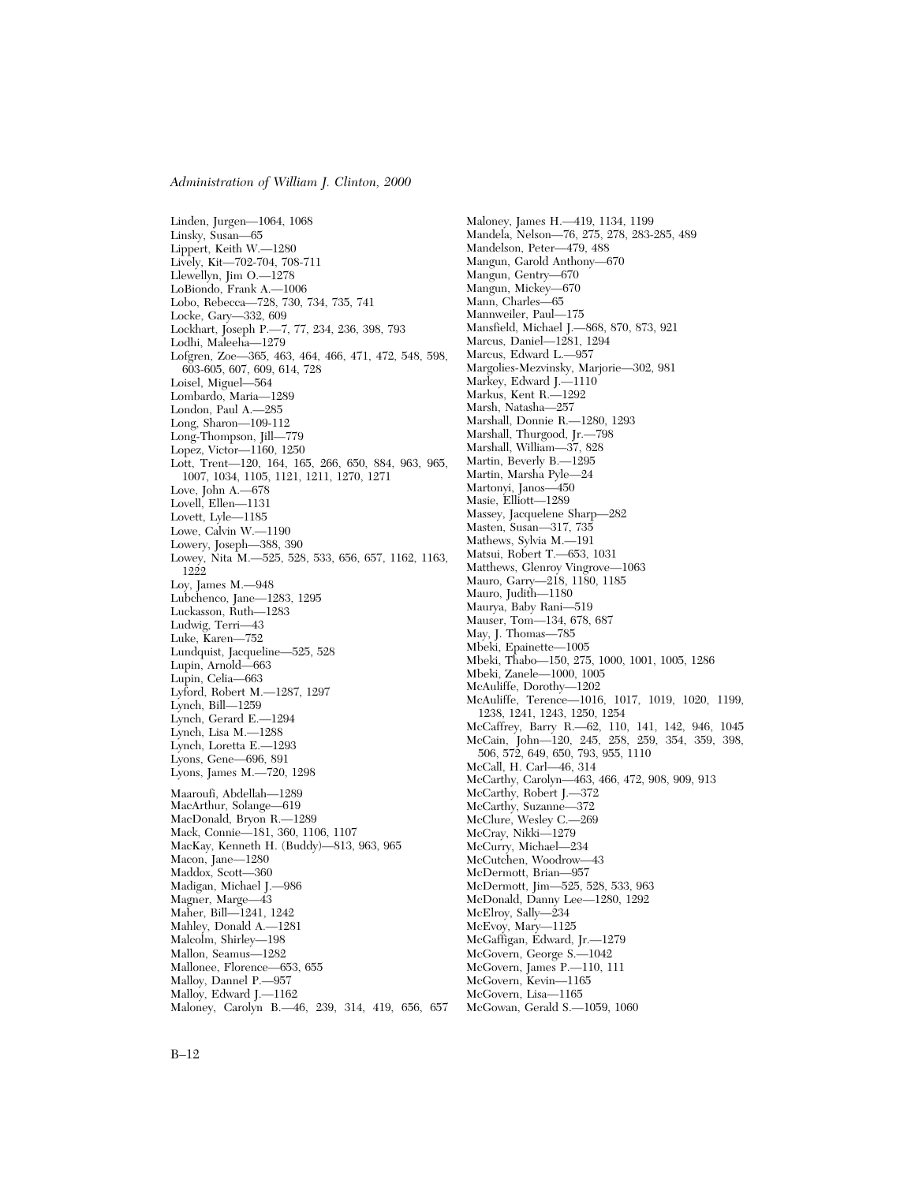Linden, Jurgen—1064, 1068 Linsky, Susan—65 Lippert, Keith W.—1280 Lively, Kit—702-704, 708-711 Llewellyn, Jim O.—1278 LoBiondo, Frank A.—1006 Lobo, Rebecca—728, 730, 734, 735, 741 Locke, Gary—332, 609 Lockhart, Joseph P.—7, 77, 234, 236, 398, 793 Lodhi, Maleeha—1279 Lofgren, Zoe—365, 463, 464, 466, 471, 472, 548, 598, 603-605, 607, 609, 614, 728 Loisel, Miguel—564 Lombardo, Maria—1289 London, Paul A.—285 Long, Sharon—109-112 Long-Thompson, Jill—779 Lopez, Victor—1160, 1250 Lott, Trent—120, 164, 165, 266, 650, 884, 963, 965, 1007, 1034, 1105, 1121, 1211, 1270, 1271 Love, John A.—678 Lovell, Ellen—1131 Lovett, Lyle—1185 Lowe, Calvin W.—1190 Lowery, Joseph—388, 390 Lowey, Nita M.—525, 528, 533, 656, 657, 1162, 1163, 1222 Loy, James M.—948 Lubchenco, Jane—1283, 1295 Luckasson, Ruth—1283 Ludwig, Terri—43 Luke, Karen—752 Lundquist, Jacqueline—525, 528 Lupin, Arnold—663 Lupin, Celia—663 Lyford, Robert M.—1287, 1297 Lynch, Bill—1259 Lynch, Gerard E.—1294 Lynch, Lisa M.—1288 Lynch, Loretta E.—1293 Lyons, Gene—696, 891 Lyons, James M.—720, 1298 Maaroufi, Abdellah—1289 MacArthur, Solange—619 MacDonald, Bryon R.—1289 Mack, Connie—181, 360, 1106, 1107 MacKay, Kenneth H. (Buddy)—813, 963, 965 Macon, Jane—1280 Maddox, Scott—360 Madigan, Michael J.—986 Magner, Marge—43 Maher, Bill—1241, 1242 Mahley, Donald A.—1281 Malcolm, Shirley—198 Mallon, Seamus—1282 Mallonee, Florence—653, 655 Malloy, Dannel P.—957 Malloy, Edward J.—1162 Maloney, Carolyn B.—46, 239, 314, 419, 656, 657 Maloney, James H.—419, 1134, 1199 Mandela, Nelson—76, 275, 278, 283-285, 489 Mandelson, Peter—479, 488 Mangun, Garold Anthony—670 Mangun, Gentry—670 Mangun, Mickey—670 Mann, Charles—65 Mannweiler, Paul—175 Mansfield, Michael J.—868, 870, 873, 921 Marcus, Daniel—1281, 1294 Marcus, Edward L.—957 Margolies-Mezvinsky, Marjorie—302, 981 Markey, Edward J.—1110 Markus, Kent R.—1292 Marsh, Natasha—257 Marshall, Donnie R.—1280, 1293 Marshall, Thurgood, Jr.—798 Marshall, William—37, 828 Martin, Beverly B.—1295 Martin, Marsha Pyle—24 Martonyi, Janos—450 Masie, Elliott—1289 Massey, Jacquelene Sharp—282 Masten, Susan—317, 735 Mathews, Sylvia M.—191 Matsui, Robert T.—653, 1031 Matthews, Glenroy Vingrove—1063 Mauro, Garry—218, 1180, 1185 Mauro, Judith—1180 Maurya, Baby Rani—519 Mauser, Tom—134, 678, 687 May, J. Thomas—785 Mbeki, Epainette—1005 Mbeki, Thabo—150, 275, 1000, 1001, 1005, 1286 Mbeki, Zanele—1000, 1005 McAuliffe, Dorothy—1202 McAuliffe, Terence—1016, 1017, 1019, 1020, 1199, 1238, 1241, 1243, 1250, 1254 McCaffrey, Barry R.—62, 110, 141, 142, 946, 1045 McCain, John—120, 245, 258, 259, 354, 359, 398, 506, 572, 649, 650, 793, 955, 1110 McCall, H. Carl—46, 314 McCarthy, Carolyn—463, 466, 472, 908, 909, 913 McCarthy, Robert J.—372 McCarthy, Suzanne—372 McClure, Wesley C.—269 McCray, Nikki—1279 McCurry, Michael—234 McCutchen, Woodrow—43 McDermott, Brian—957 McDermott, Jim—525, 528, 533, 963 McDonald, Danny Lee—1280, 1292 McElroy, Sally—234 McEvoy, Mary—1125 McGaffigan, Edward, Jr.—1279 McGovern, George S.—1042 McGovern, James P.—110, 111 McGovern, Kevin—1165 McGovern, Lisa—1165 McGowan, Gerald S.—1059, 1060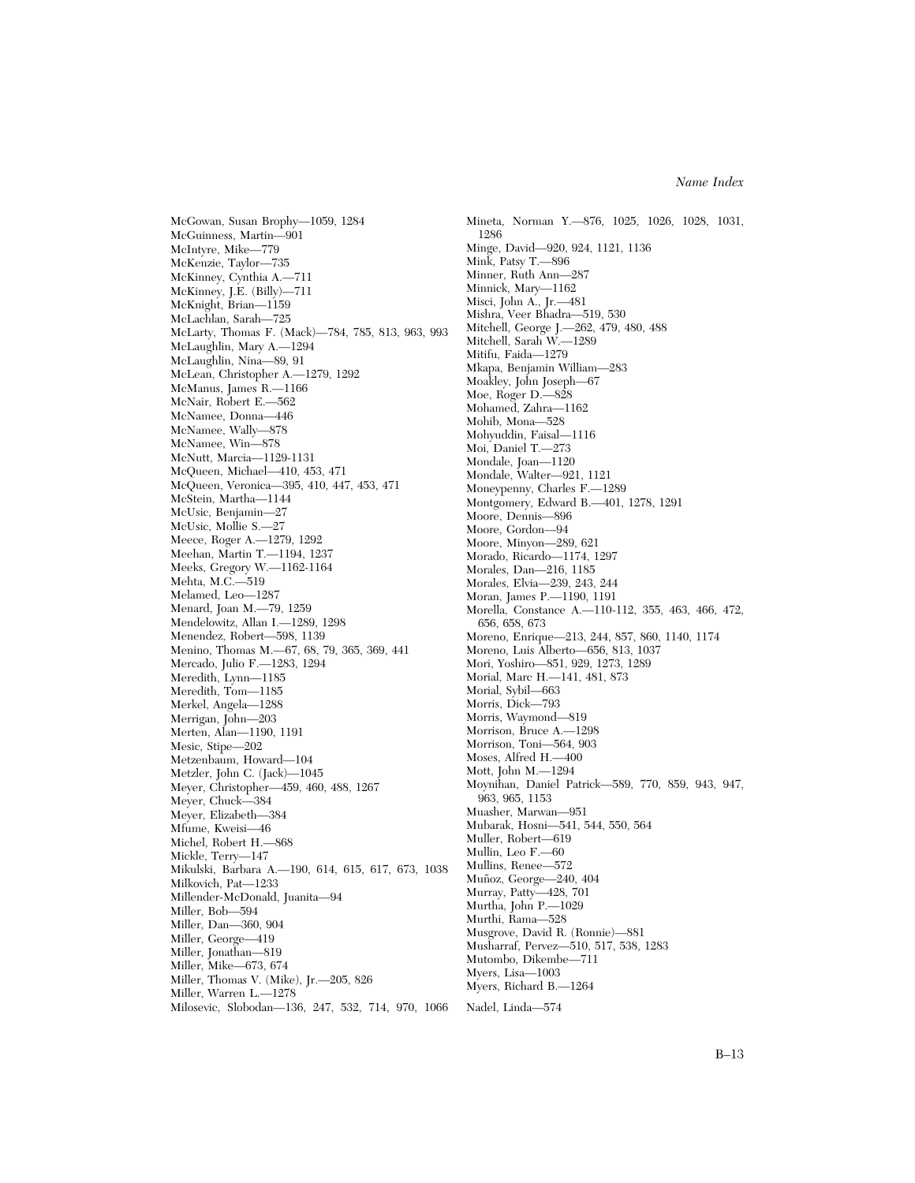McGowan, Susan Brophy—1059, 1284 McGuinness, Martin—901 McIntyre, Mike—779 McKenzie, Taylor—735 McKinney, Cynthia A.—711 McKinney, J.E. (Billy)—711 McKnight, Brian—1159 McLachlan, Sarah—725 McLarty, Thomas F. (Mack)—784, 785, 813, 963, 993 McLaughlin, Mary A.—1294 McLaughlin, Nina—89, 91 McLean, Christopher A.—1279, 1292 McManus, James R.—1166 McNair, Robert E.—562 McNamee, Donna—446 McNamee, Wally—878 McNamee, Win—878 McNutt, Marcia—1129-1131 McQueen, Michael—410, 453, 471 McQueen, Veronica—395, 410, 447, 453, 471 McStein, Martha—1144 McUsic, Benjamin—27 McUsic, Mollie S.—27 Meece, Roger A.—1279, 1292 Meehan, Martin T.—1194, 1237 Meeks, Gregory W.—1162-1164 Mehta, M.C.—519 Melamed, Leo—1287 Menard, Joan M.—79, 1259 Mendelowitz, Allan I.—1289, 1298 Menendez, Robert—598, 1139 Menino, Thomas M.—67, 68, 79, 365, 369, 441 Mercado, Julio F.—1283, 1294 Meredith, Lynn—1185 Meredith, Tom—1185 Merkel, Angela—1288 Merrigan, John—203 Merten, Alan—1190, 1191 Mesic, Stipe—202 Metzenbaum, Howard—104 Metzler, John C. (Jack)—1045 Meyer, Christopher—459, 460, 488, 1267 Meyer, Chuck—384 Meyer, Elizabeth—384 Mfume, Kweisi—46 Michel, Robert H.—868 Mickle, Terry—147 Mikulski, Barbara A.—190, 614, 615, 617, 673, 1038 Milkovich, Pat—1233 Millender-McDonald, Juanita—94 Miller, Bob—594 Miller, Dan—360, 904 Miller, George—419 Miller, Jonathan—819 Miller, Mike—673, 674 Miller, Thomas V. (Mike), Jr.—205, 826 Miller, Warren L.—1278 Milosevic, Slobodan—136, 247, 532, 714, 970, 1066

Mineta, Norman Y.—876, 1025, 1026, 1028, 1031, 1286 Minge, David—920, 924, 1121, 1136 Mink, Patsy T.—896 Minner, Ruth Ann—287 Minnick, Mary—1162 Misci, John A., Jr.—481 Mishra, Veer Bhadra—519, 530 Mitchell, George J.—262, 479, 480, 488 Mitchell, Sarah W.—1289 Mitifu, Faida—1279 Mkapa, Benjamin William—283 Moakley, John Joseph—67 Moe, Roger D.—828 Mohamed, Zahra—1162 Mohib, Mona—528 Mohyuddin, Faisal—1116 Moi, Daniel T.—273 Mondale, Joan—1120 Mondale, Walter—921, 1121 Moneypenny, Charles F.—1289 Montgomery, Edward B.—401, 1278, 1291 Moore, Dennis—896 Moore, Gordon—94 Moore, Minyon—289, 621 Morado, Ricardo—1174, 1297 Morales, Dan—216, 1185 Morales, Elvia—239, 243, 244 Moran, James P.—1190, 1191 Morella, Constance A.—110-112, 355, 463, 466, 472, 656, 658, 673 Moreno, Enrique—213, 244, 857, 860, 1140, 1174 Moreno, Luis Alberto—656, 813, 1037 Mori, Yoshiro—851, 929, 1273, 1289 Morial, Marc H.—141, 481, 873 Morial, Sybil—663 Morris, Dick—793 Morris, Waymond—819 Morrison, Bruce A.—1298 Morrison, Toni—564, 903 Moses, Alfred H.—400 Mott, John M.—1294 Moynihan, Daniel Patrick—589, 770, 859, 943, 947, 963, 965, 1153 Muasher, Marwan—951 Mubarak, Hosni—541, 544, 550, 564 Muller, Robert—619 Mullin, Leo F.—60 Mullins, Renee—572 Muñoz, George—240, 404 Murray, Patty—428, 701 Murtha, John P.—1029 Murthi, Rama—528 Musgrove, David R. (Ronnie)—881 Musharraf, Pervez—510, 517, 538, 1283 Mutombo, Dikembe—711 Myers, Lisa—1003 Myers, Richard B.—1264 Nadel, Linda—574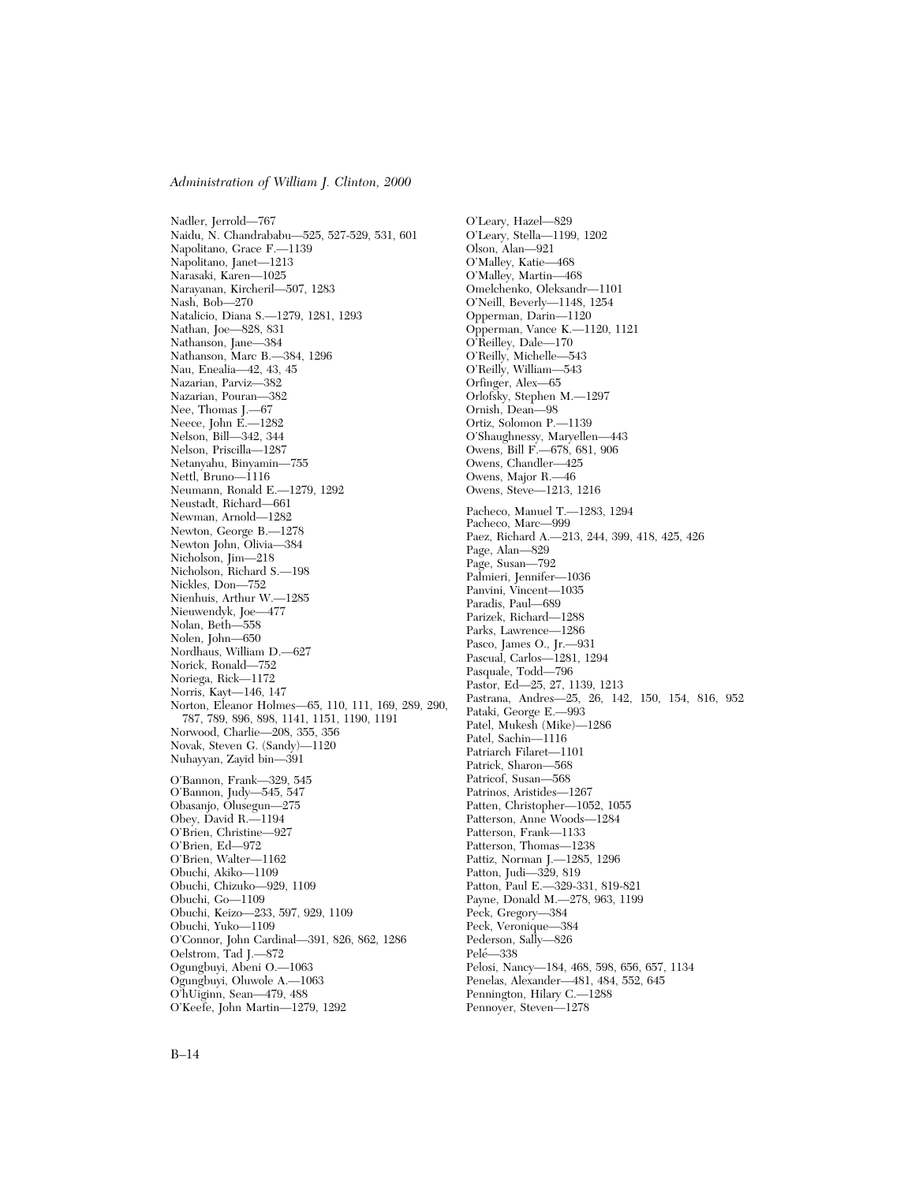Nadler, Jerrold—767 Naidu, N. Chandrababu—525, 527-529, 531, 601 Napolitano, Grace F.—1139 Napolitano, Janet—1213 Narasaki, Karen—1025 Narayanan, Kircheril—507, 1283 Nash, Bob—270 Natalicio, Diana S.—1279, 1281, 1293 Nathan, Joe—828, 831 Nathanson, Jane—384 Nathanson, Marc B.—384, 1296 Nau, Enealia—42, 43, 45 Nazarian, Parviz—382 Nazarian, Pouran—382 Nee, Thomas J.—67 Neece, John E.—1282 Nelson, Bill—342, 344 Nelson, Priscilla—1287 Netanyahu, Binyamin—755 Nettl, Bruno—1116 Neumann, Ronald E.—1279, 1292 Neustadt, Richard—661 Newman, Arnold—1282 Newton, George B.—1278 Newton John, Olivia—384 Nicholson, Jim—218 Nicholson, Richard S.—198 Nickles, Don—752 Nienhuis, Arthur W.—1285 Nieuwendyk, Joe—477 Nolan, Beth—558 Nolen, John—650 Nordhaus, William D.—627 Norick, Ronald—752 Noriega, Rick—1172 Norris, Kayt—146, 147 Norton, Eleanor Holmes—65, 110, 111, 169, 289, 290, 787, 789, 896, 898, 1141, 1151, 1190, 1191 Norwood, Charlie—208, 355, 356 Novak, Steven G. (Sandy)—1120 Nuhayyan, Zayid bin—391 O'Bannon, Frank—329, 545 O'Bannon, Judy—545, 547 Obasanjo, Olusegun—275 Obey, David R.—1194 O'Brien, Christine—927 O'Brien, Ed—972 O'Brien, Walter—1162 Obuchi, Akiko—1109 Obuchi, Chizuko—929, 1109 Obuchi, Go—1109 Obuchi, Keizo—233, 597, 929, 1109 Obuchi, Yuko—1109 O'Connor, John Cardinal—391, 826, 862, 1286 Oelstrom, Tad J.—872 Ogungbuyi, Abeni O.—1063 Ogungbuyi, Oluwole A.—1063 O'hUiginn, Sean—479, 488 O'Keefe, John Martin—1279, 1292

O'Leary, Hazel—829 O'Leary, Stella—1199, 1202 Olson, Alan—921 O'Malley, Katie—468 O'Malley, Martin—468 Omelchenko, Oleksandr—1101 O'Neill, Beverly—1148, 1254 Opperman, Darin—1120 Opperman, Vance K.—1120, 1121 O'Reilley, Dale—170 O'Reilly, Michelle—543 O'Reilly, William—543 Orfinger, Alex—65 Orlofsky, Stephen M.—1297 Ornish, Dean—98 Ortiz, Solomon P.—1139 O'Shaughnessy, Maryellen—443 Owens, Bill F.—678, 681, 906 Owens, Chandler—425 Owens, Major R.—46 Owens, Steve—1213, 1216 Pacheco, Manuel T.—1283, 1294 Pacheco, Marc—999 Paez, Richard A.—213, 244, 399, 418, 425, 426 Page, Alan—829 Page, Susan—792 Palmieri, Jennifer—1036 Panvini, Vincent—1035 Paradis, Paul—689 Parizek, Richard—1288 Parks, Lawrence—1286 Pasco, James O., Jr.—931 Pascual, Carlos—1281, 1294 Pasquale, Todd—796 Pastor, Ed—25, 27, 1139, 1213 Pastrana, Andres—25, 26, 142, 150, 154, 816, 952 Pataki, George E.—993 Patel, Mukesh (Mike)—1286 Patel, Sachin—1116 Patriarch Filaret—1101 Patrick, Sharon—568 Patricof, Susan—568 Patrinos, Aristides—1267 Patten, Christopher—1052, 1055 Patterson, Anne Woods—1284 Patterson, Frank—1133 Patterson, Thomas—1238 Pattiz, Norman J.—1285, 1296 Patton, Judi-329, 819 Patton, Paul E.—329-331, 819-821 Payne, Donald M.—278, 963, 1199 Peck, Gregory—384 Peck, Veronique—384 Pederson, Sally—826 Pelé-338 Pelosi, Nancy—184, 468, 598, 656, 657, 1134 Penelas, Alexander—481, 484, 552, 645 Pennington, Hilary C.—1288 Pennoyer, Steven—1278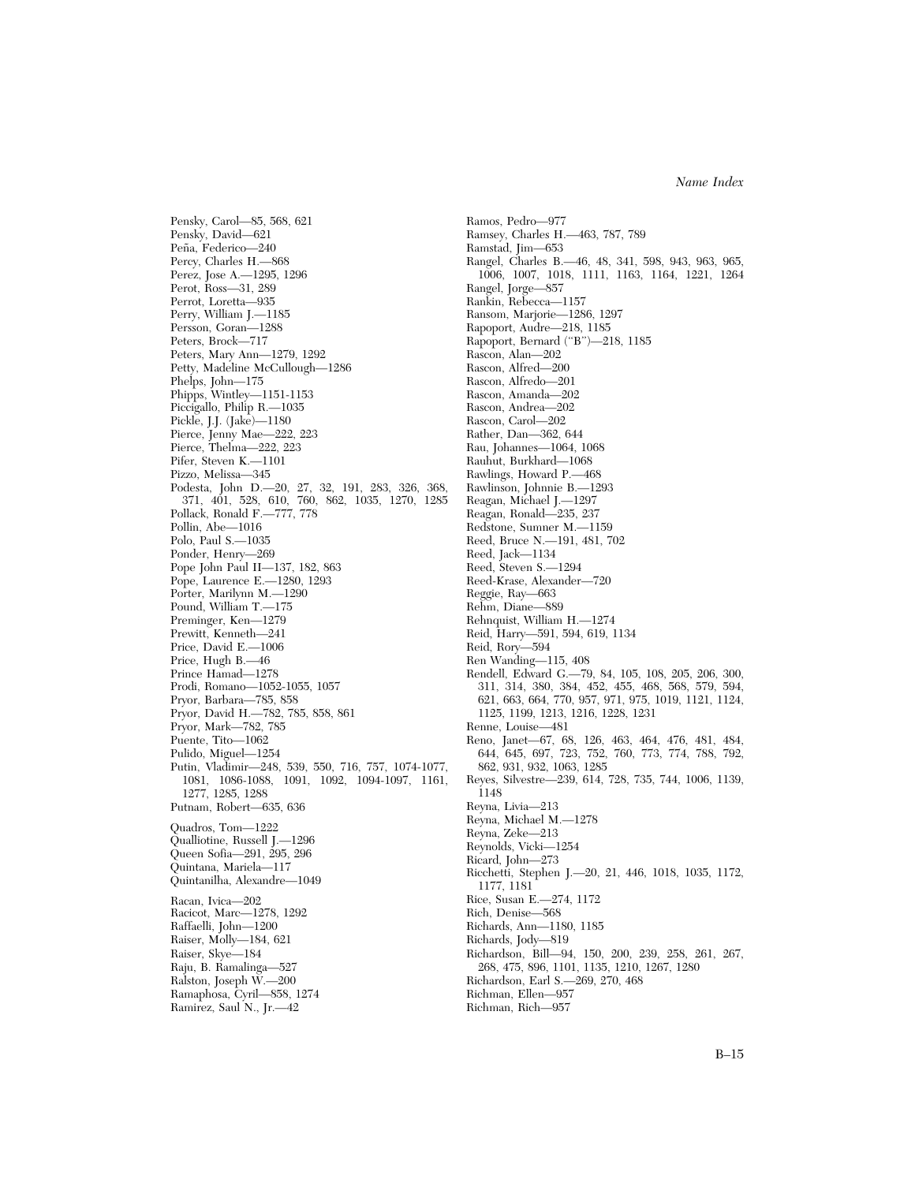Pensky, Carol—85, 568, 621 Pensky, David—621 Peña, Federico-240 Percy, Charles H.—868 Perez, Jose A.—1295, 1296 Perot, Ross—31, 289 Perrot, Loretta—935 Perry, William J.—1185 Persson, Goran—1288 Peters, Brock—717 Peters, Mary Ann—1279, 1292 Petty, Madeline McCullough—1286 Phelps, John—175 Phipps, Wintley—1151-1153 Piccigallo, Philip R.-1035 Pickle, J.J. (Jake)—1180 Pierce, Jenny Mae—222, 223 Pierce, Thelma—222, 223 Pifer, Steven K.—1101 Pizzo, Melissa—345 Podesta, John D.—20, 27, 32, 191, 283, 326, 368, 371, 401, 528, 610, 760, 862, 1035, 1270, 1285 Pollack, Ronald F.—777, 778 Pollin, Abe—1016 Polo, Paul S.—1035 Ponder, Henry—269 Pope John Paul II—137, 182, 863 Pope, Laurence E.—1280, 1293 Porter, Marilynn M.—1290 Pound, William T.—175 Preminger, Ken—1279 Prewitt, Kenneth—241 Price, David E.—1006 Price, Hugh B.—46 Prince Hamad—1278 Prodi, Romano—1052-1055, 1057 Pryor, Barbara—785, 858 Pryor, David H.—782, 785, 858, 861 Pryor, Mark—782, 785 Puente, Tito—1062 Pulido, Miguel—1254 Putin, Vladimir—248, 539, 550, 716, 757, 1074-1077, 1081, 1086-1088, 1091, 1092, 1094-1097, 1161, 1277, 1285, 1288 Putnam, Robert—635, 636 Quadros, Tom—1222 Qualliotine, Russell J.—1296 Queen Sofia—291, 295, 296 Quintana, Mariela—117 Quintanilha, Alexandre—1049 Racan, Ivica—202 Racicot, Marc—1278, 1292 Raffaelli, John—1200 Raiser, Molly—184, 621 Raiser, Skye—184 Raju, B. Ramalinga—527 Ralston, Joseph W.—200 Ramaphosa, Cyril—858, 1274 Ramirez, Saul N., Jr.—42

Ramos, Pedro—977 Ramsey, Charles H.—463, 787, 789 Ramstad, Jim—653 Rangel, Charles B.—46, 48, 341, 598, 943, 963, 965, 1006, 1007, 1018, 1111, 1163, 1164, 1221, 1264 Rangel, Jorge—857 Rankin, Rebecca—1157 Ransom, Marjorie—1286, 1297 Rapoport, Audre—218, 1185 Rapoport, Bernard (''B'')—218, 1185 Rascon, Alan—202 Rascon, Alfred—200 Rascon, Alfredo—201 Rascon, Amanda—202 Rascon, Andrea—202 Rascon, Carol—202 Rather, Dan—362, 644 Rau, Johannes—1064, 1068 Rauhut, Burkhard—1068 Rawlings, Howard P.—468 Rawlinson, Johnnie B.—1293 Reagan, Michael J.—1297 Reagan, Ronald—235, 237 Redstone, Sumner M.—1159 Reed, Bruce N.—191, 481, 702 Reed, Jack—1134 Reed, Steven S.—1294 Reed-Krase, Alexander—720 Reggie, Ray—663 Rehm, Diane—889 Rehnquist, William H.—1274 Reid, Harry—591, 594, 619, 1134 Reid, Rory—594 Ren Wanding—115, 408 Rendell, Edward G.—79, 84, 105, 108, 205, 206, 300, 311, 314, 380, 384, 452, 455, 468, 568, 579, 594, 621, 663, 664, 770, 957, 971, 975, 1019, 1121, 1124, 1125, 1199, 1213, 1216, 1228, 1231 Renne, Louise—481 Reno, Janet—67, 68, 126, 463, 464, 476, 481, 484, 644, 645, 697, 723, 752, 760, 773, 774, 788, 792, 862, 931, 932, 1063, 1285 Reyes, Silvestre—239, 614, 728, 735, 744, 1006, 1139, 1148 Reyna, Livia—213 Reyna, Michael M.—1278 Reyna, Zeke—213 Reynolds, Vicki—1254 Ricard, John—273 Ricchetti, Stephen J.—20, 21, 446, 1018, 1035, 1172, 1177, 1181 Rice, Susan E.—274, 1172 Rich, Denise—568 Richards, Ann—1180, 1185 Richards, Jody—819 Richardson, Bill—94, 150, 200, 239, 258, 261, 267, 268, 475, 896, 1101, 1135, 1210, 1267, 1280 Richardson, Earl S.—269, 270, 468 Richman, Ellen—957 Richman, Rich—957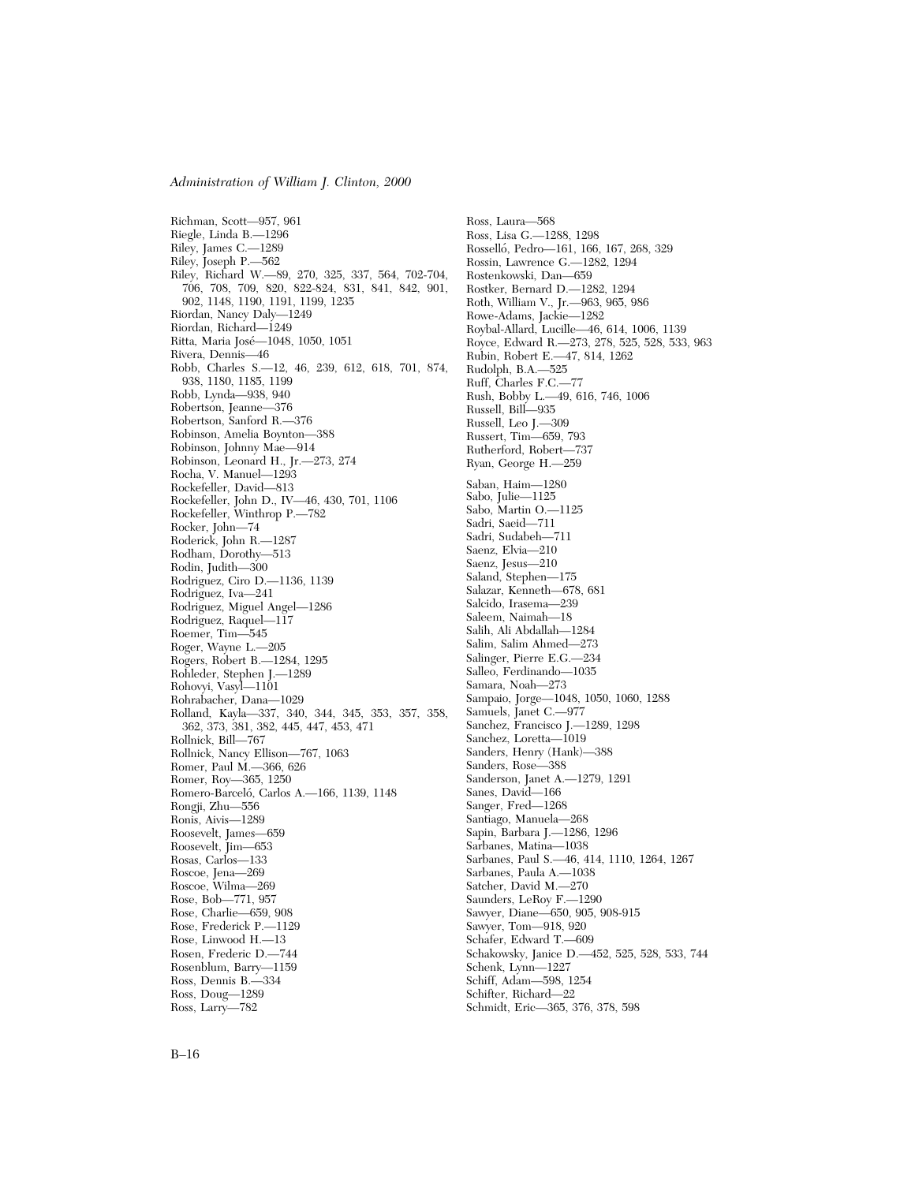Richman, Scott—957, 961 Riegle, Linda B.—1296 Riley, James C.—1289 Riley, Joseph P.—562 Riley, Richard W.—89, 270, 325, 337, 564, 702-704, 706, 708, 709, 820, 822-824, 831, 841, 842, 901, 902, 1148, 1190, 1191, 1199, 1235 Riordan, Nancy Daly—1249 Riordan, Richard—1249 Ritta, Maria José-1048, 1050, 1051 Rivera, Dennis—46 Robb, Charles S.—12, 46, 239, 612, 618, 701, 874, 938, 1180, 1185, 1199 Robb, Lynda—938, 940 Robertson, Jeanne—376 Robertson, Sanford R.—376 Robinson, Amelia Boynton—388 Robinson, Johnny Mae—914 Robinson, Leonard H., Jr.—273, 274 Rocha, V. Manuel—1293 Rockefeller, David—813 Rockefeller, John D., IV—46, 430, 701, 1106 Rockefeller, Winthrop P.—782 Rocker, John—74 Roderick, John R.—1287 Rodham, Dorothy—513 Rodin, Judith—300 Rodriguez, Ciro D.—1136, 1139 Rodriguez, Iva—241 Rodriguez, Miguel Angel—1286 Rodriguez, Raquel—117 Roemer, Tim—545 Roger, Wayne L.—205 Rogers, Robert B.—1284, 1295 Rohleder, Stephen J.—1289 Rohovyi, Vasyl—1101 Rohrabacher, Dana—1029 Rolland, Kayla—337, 340, 344, 345, 353, 357, 358, 362, 373, 381, 382, 445, 447, 453, 471 Rollnick, Bill—767 Rollnick, Nancy Ellison—767, 1063 Romer, Paul M.—366, 626 Romer, Roy—365, 1250 Romero-Barceló, Carlos A. - 166, 1139, 1148 Rongji, Zhu—556 Ronis, Aivis—1289 Roosevelt, James—659 Roosevelt, Jim—653 Rosas, Carlos—133 Roscoe, Jena—269 Roscoe, Wilma—269 Rose, Bob—771, 957 Rose, Charlie—659, 908 Rose, Frederick P.—1129 Rose, Linwood H.—13 Rosen, Frederic D.—744 Rosenblum, Barry—1159 Ross, Dennis B.—334 Ross, Doug—1289 Ross, Larry—782

Ross, Laura—568 Ross, Lisa G.—1288, 1298 Rossello´, Pedro—161, 166, 167, 268, 329 Rossin, Lawrence G.—1282, 1294 Rostenkowski, Dan—659 Rostker, Bernard D.—1282, 1294 Roth, William V., Jr.—963, 965, 986 Rowe-Adams, Jackie—1282 Roybal-Allard, Lucille—46, 614, 1006, 1139 Royce, Edward R.—273, 278, 525, 528, 533, 963 Rubin, Robert E.—47, 814, 1262 Rudolph, B.A.—525 Ruff, Charles F.C.—77 Rush, Bobby L.—49, 616, 746, 1006 Russell, Bill—935 Russell, Leo J.—309 Russert, Tim—659, 793 Rutherford, Robert—737 Ryan, George H.—259 Saban, Haim—1280 Sabo, Julie—1125 Sabo, Martin O.—1125 Sadri, Saeid—711 Sadri, Sudabeh—711 Saenz, Elvia—210 Saenz, Jesus-210 Saland, Stephen—175 Salazar, Kenneth—678, 681 Salcido, Irasema—239 Saleem, Naimah—18 Salih, Ali Abdallah—1284 Salim, Salim Ahmed—273 Salinger, Pierre E.G.—234 Salleo, Ferdinando—1035 Samara, Noah—273 Sampaio, Jorge—1048, 1050, 1060, 1288 Samuels, Janet C.—977 Sanchez, Francisco J.—1289, 1298 Sanchez, Loretta—1019 Sanders, Henry (Hank)—388 Sanders, Rose—388 Sanderson, Janet A.—1279, 1291 Sanes, David—166 Sanger, Fred—1268 Santiago, Manuela—268 Sapin, Barbara J.—1286, 1296 Sarbanes, Matina—1038 Sarbanes, Paul S.—46, 414, 1110, 1264, 1267 Sarbanes, Paula A.—1038 Satcher, David M.—270 Saunders, LeRoy F.—1290 Sawyer, Diane—650, 905, 908-915 Sawyer, Tom—918, 920 Schafer, Edward T.—609 Schakowsky, Janice D.—452, 525, 528, 533, 744 Schenk, Lynn—1227 Schiff, Adam—598, 1254 Schifter, Richard—22 Schmidt, Eric—365, 376, 378, 598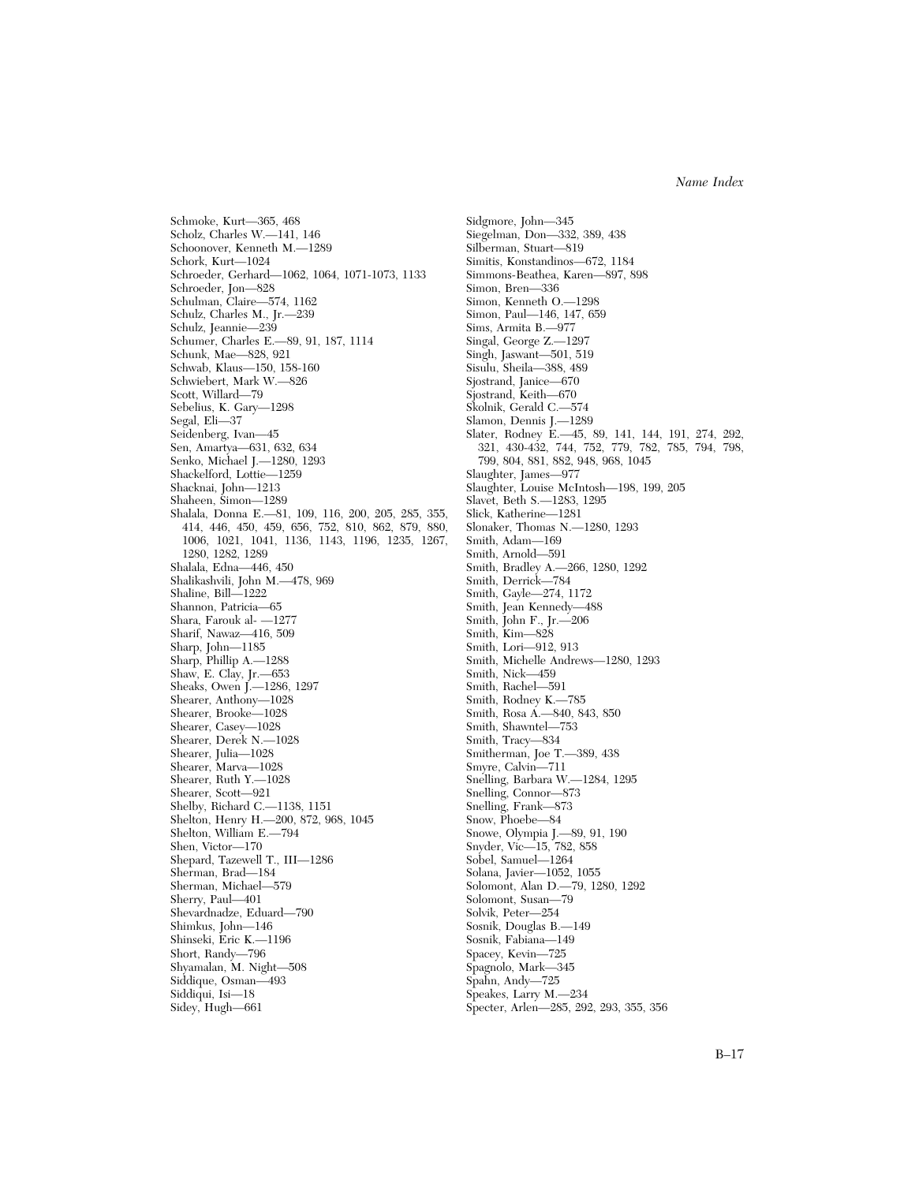Schmoke, Kurt—365, 468 Scholz, Charles W.—141, 146 Schoonover, Kenneth M.—1289 Schork, Kurt—1024 Schroeder, Gerhard—1062, 1064, 1071-1073, 1133 Schroeder, Jon—828 Schulman, Claire—574, 1162 Schulz, Charles M., Jr.—239 Schulz, Jeannie—239 Schumer, Charles E.—89, 91, 187, 1114 Schunk, Mae—828, 921 Schwab, Klaus—150, 158-160 Schwiebert, Mark W.—826 Scott, Willard—79 Sebelius, K. Gary—1298 Segal, Eli—37 Seidenberg, Ivan—45 Sen, Amartya—631, 632, 634 Senko, Michael J.—1280, 1293 Shackelford, Lottie—1259 Shacknai, John—1213 Shaheen, Simon—1289 Shalala, Donna E.—81, 109, 116, 200, 205, 285, 355, 414, 446, 450, 459, 656, 752, 810, 862, 879, 880, 1006, 1021, 1041, 1136, 1143, 1196, 1235, 1267, 1280, 1282, 1289 Shalala, Edna—446, 450 Shalikashvili, John M.—478, 969 Shaline, Bill—1222 Shannon, Patricia—65 Shara, Farouk al- —1277 Sharif, Nawaz—416, 509 Sharp, John—1185 Sharp, Phillip A.—1288 Shaw, E. Clay, Jr.—653 Sheaks, Owen J.—1286, 1297 Shearer, Anthony—1028 Shearer, Brooke—1028 Shearer, Casey—1028 Shearer, Derek N.-1028 Shearer, Julia—1028 Shearer, Marva—1028 Shearer, Ruth Y.—1028 Shearer, Scott—921 Shelby, Richard C.—1138, 1151 Shelton, Henry H.—200, 872, 968, 1045 Shelton, William E.—794 Shen, Victor—170 Shepard, Tazewell T., III—1286 Sherman, Brad—184 Sherman, Michael—579 Sherry, Paul—401 Shevardnadze, Eduard—790 Shimkus, John—146 Shinseki, Eric K.—1196 Short, Randy—796 Shyamalan, M. Night—508 Siddique, Osman—493 Siddiqui, Isi—18 Sidey, Hugh—661

Sidgmore, John—345 Siegelman, Don—332, 389, 438 Silberman, Stuart—819 Simitis, Konstandinos—672, 1184 Simmons-Beathea, Karen—897, 898 Simon, Bren—336 Simon, Kenneth O.—1298 Simon, Paul—146, 147, 659 Sims, Armita B.—977 Singal, George Z.—1297 Singh, Jaswant—501, 519 Sisulu, Sheila—388, 489 Sjostrand, Janice—670 Sjostrand, Keith—670 Skolnik, Gerald C.—574 Slamon, Dennis J.—1289 Slater, Rodney E.—45, 89, 141, 144, 191, 274, 292, 321, 430-432, 744, 752, 779, 782, 785, 794, 798, 799, 804, 881, 882, 948, 968, 1045 Slaughter, James—977 Slaughter, Louise McIntosh—198, 199, 205 Slavet, Beth S.—1283, 1295 Slick, Katherine—1281 Slonaker, Thomas N.—1280, 1293 Smith, Adam—169 Smith, Arnold—591 Smith, Bradley A.—266, 1280, 1292 Smith, Derrick—784 Smith, Gayle—274, 1172 Smith, Jean Kennedy—488 Smith, John F., Jr.—206 Smith, Kim—828 Smith, Lori—912, 913 Smith, Michelle Andrews—1280, 1293 Smith, Nick—459 Smith, Rachel—591 Smith, Rodney K.—785 Smith, Rosa A. - 840, 843, 850 Smith, Shawntel—753 Smith, Tracy—834 Smitherman, Joe T.—389, 438 Smyre, Calvin—711 Snelling, Barbara W.—1284, 1295 Snelling, Connor—873 Snelling, Frank—873 Snow, Phoebe—84 Snowe, Olympia J.—89, 91, 190 Snyder, Vic—15, 782, 858 Sobel, Samuel—1264 Solana, Javier—1052, 1055 Solomont, Alan D.—79, 1280, 1292 Solomont, Susan—79 Solvik, Peter—254 Sosnik, Douglas B.—149 Sosnik, Fabiana—149 Spacey, Kevin—725 Spagnolo, Mark—345 Spahn, Andy—725 Speakes, Larry M.—234 Specter, Arlen—285, 292, 293, 355, 356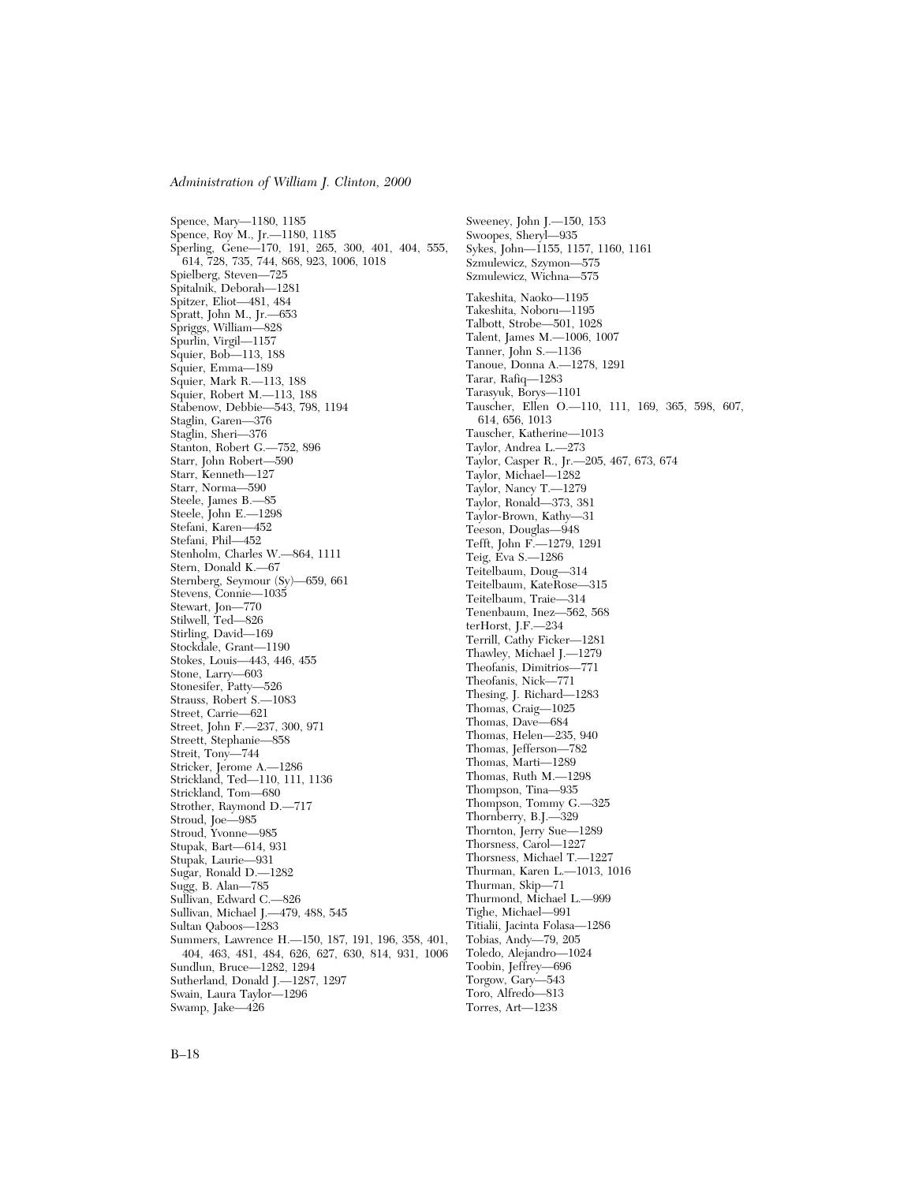Spence, Mary—1180, 1185 Spence, Roy M., Jr.—1180, 1185 Sperling, Gene—170, 191, 265, 300, 401, 404, 555, 614, 728, 735, 744, 868, 923, 1006, 1018 Spielberg, Steven—725 Spitalnik, Deborah—1281 Spitzer, Eliot—481, 484 Spratt, John M., Jr.—653 Spriggs, William—828 Spurlin, Virgil—1157 Squier, Bob—113, 188 Squier, Emma—189 Squier, Mark R.—113, 188 Squier, Robert M.—113, 188 Stabenow, Debbie—543, 798, 1194 Staglin, Garen—376 Staglin, Sheri—376 Stanton, Robert G.—752, 896 Starr, John Robert—590 Starr, Kenneth—127 Starr, Norma—590 Steele, James B.—85 Steele, John E.—1298 Stefani, Karen—452 Stefani, Phil—452 Stenholm, Charles W.—864, 1111 Stern, Donald K.—67 Sternberg, Seymour (Sy)—659, 661 Stevens, Connie—1035 Stewart, Jon—770 Stilwell, Ted—826 Stirling, David—169 Stockdale, Grant—1190 Stokes, Louis—443, 446, 455 Stone, Larry—603 Stonesifer, Patty—526 Strauss, Robert S.—1083 Street, Carrie—621 Street, John F.—237, 300, 971 Streett, Stephanie—858 Streit, Tony—744 Stricker, Jerome A.—1286 Strickland, Ted—110, 111, 1136 Strickland, Tom—680 Strother, Raymond D.—717 Stroud, Joe—985 Stroud, Yvonne—985 Stupak, Bart—614, 931 Stupak, Laurie—931 Sugar, Ronald D.—1282 Sugg, B. Alan—785 Sullivan, Edward C.—826 Sullivan, Michael J.—479, 488, 545 Sultan Qaboos—1283 Summers, Lawrence H.—150, 187, 191, 196, 358, 401, 404, 463, 481, 484, 626, 627, 630, 814, 931, 1006 Sundlun, Bruce—1282, 1294 Sutherland, Donald J.—1287, 1297 Swain, Laura Taylor—1296 Swamp, Jake—426

Sweeney, John J.—150, 153 Swoopes, Sheryl—935 Sykes, John—1155, 1157, 1160, 1161 Szmulewicz, Szymon—575 Szmulewicz, Wichna—575 Takeshita, Naoko—1195 Takeshita, Noboru—1195 Talbott, Strobe—501, 1028 Talent, James M.—1006, 1007 Tanner, John S.—1136 Tanoue, Donna A.—1278, 1291 Tarar, Rafiq—1283 Tarasyuk, Borys—1101 Tauscher, Ellen O.—110, 111, 169, 365, 598, 607, 614, 656, 1013 Tauscher, Katherine—1013 Taylor, Andrea L.—273 Taylor, Casper R., Jr.—205, 467, 673, 674 Taylor, Michael—1282 Taylor, Nancy T.—1279 Taylor, Ronald—373, 381 Taylor-Brown, Kathy—31 Teeson, Douglas—948 Tefft, John F.—1279, 1291 Teig, Eva S.—1286 Teitelbaum, Doug—314 Teitelbaum, KateRose—315 Teitelbaum, Traie—314 Tenenbaum, Inez—562, 568 terHorst, J.F.—234 Terrill, Cathy Ficker—1281 Thawley, Michael J.—1279 Theofanis, Dimitrios—771 Theofanis, Nick—771 Thesing, J. Richard—1283 Thomas, Craig—1025 Thomas, Dave—684 Thomas, Helen—235, 940 Thomas, Jefferson—782 Thomas, Marti—1289 Thomas, Ruth M.—1298 Thompson, Tina—935 Thompson, Tommy G.—325 Thornberry, B.J.—329 Thornton, Jerry Sue—1289 Thorsness, Carol—1227 Thorsness, Michael T.—1227 Thurman, Karen L.—1013, 1016 Thurman, Skip—71 Thurmond, Michael L.—999 Tighe, Michael—991 Titialii, Jacinta Folasa—1286 Tobias, Andy—79, 205 Toledo, Alejandro—1024 Toobin, Jeffrey—696 Torgow, Gary—543 Toro, Alfredo—813

Torres, Art—1238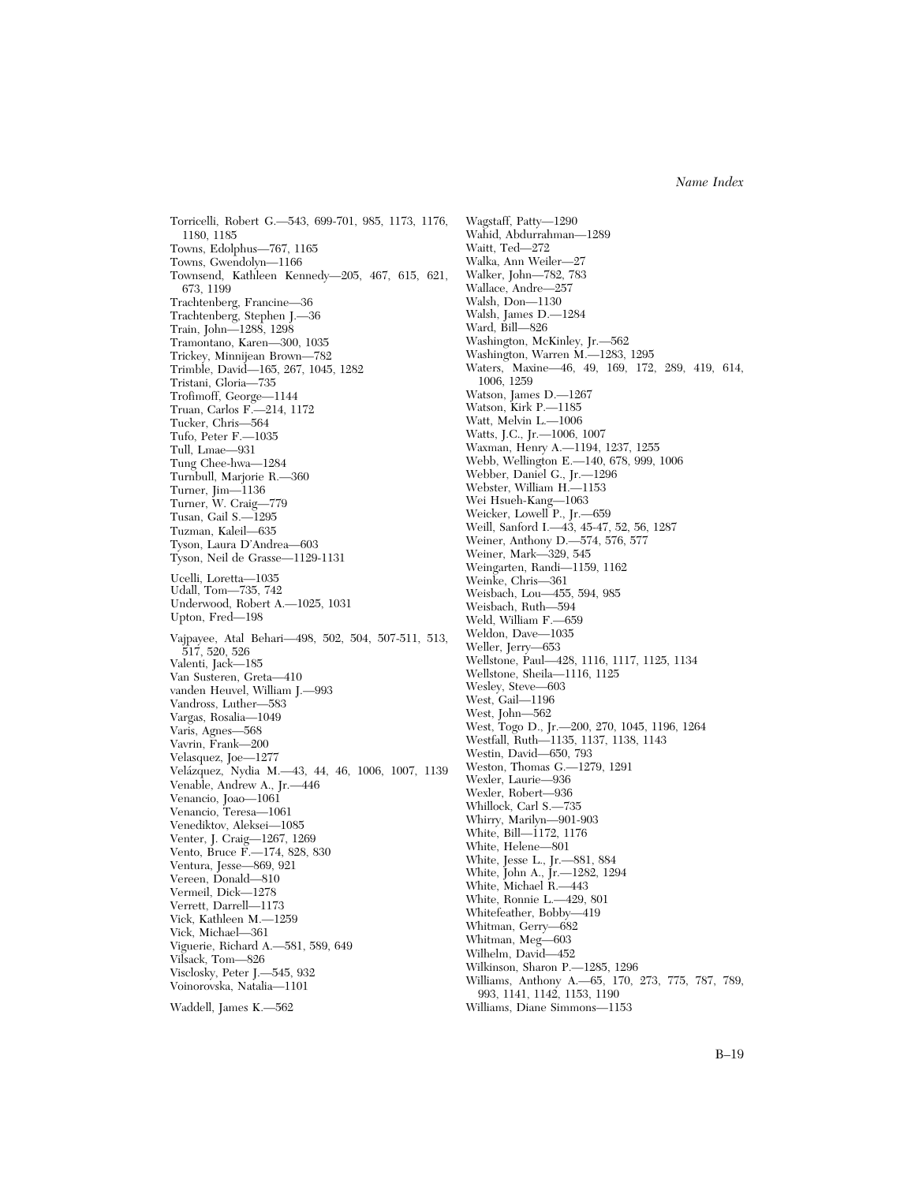Torricelli, Robert G.—543, 699-701, 985, 1173, 1176, 1180, 1185 Towns, Edolphus—767, 1165 Towns, Gwendolyn—1166 Townsend, Kathleen Kennedy—205, 467, 615, 621, 673, 1199 Trachtenberg, Francine—36 Trachtenberg, Stephen J.—36 Train, John—1288, 1298 Tramontano, Karen—300, 1035 Trickey, Minnijean Brown—782 Trimble, David—165, 267, 1045, 1282 Tristani, Gloria—735 Trofimoff, George—1144 Truan, Carlos F.—214, 1172 Tucker, Chris—564 Tufo, Peter F.—1035 Tull, Lmae—931 Tung Chee-hwa—1284 Turnbull, Marjorie R.—360 Turner, Jim—1136 Turner, W. Craig—779 Tusan, Gail S.—1295 Tuzman, Kaleil—635 Tyson, Laura D'Andrea—603 Tyson, Neil de Grasse—1129-1131 Ucelli, Loretta—1035 Udall, Tom—735, 742 Underwood, Robert A.—1025, 1031 Upton, Fred—198 Vajpayee, Atal Behari—498, 502, 504, 507-511, 513, 517, 520, 526 Valenti, Jack—185 Van Susteren, Greta—410 vanden Heuvel, William J.—993 Vandross, Luther—583 Vargas, Rosalia—1049 Varis, Agnes—568 Vavrin, Frank—200 Velasquez, Joe—1277 Vela´zquez, Nydia M.—43, 44, 46, 1006, 1007, 1139 Venable, Andrew A., Jr.—446 Venancio, Joao—1061 Venancio, Teresa—1061 Venediktov, Aleksei—1085 Venter, J. Craig—1267, 1269 Vento, Bruce F.—174, 828, 830 Ventura, Jesse—869, 921 Vereen, Donald—810 Vermeil, Dick—1278 Verrett, Darrell—1173 Vick, Kathleen M.—1259 Vick, Michael—361 Viguerie, Richard A.—581, 589, 649 Vilsack, Tom—826 Visclosky, Peter J.—545, 932 Voinorovska, Natalia—1101 Waddell, James K.—562

Wagstaff, Patty—1290 Wahid, Abdurrahman—1289 Waitt, Ted—272 Walka, Ann Weiler—27 Walker, John—782, 783 Wallace, Andre—257 Walsh, Don—1130 Walsh, James D.—1284 Ward, Bill—826 Washington, McKinley, Jr.—562 Washington, Warren M.—1283, 1295 Waters, Maxine—46, 49, 169, 172, 289, 419, 614, 1006, 1259 Watson, James D.—1267 Watson, Kirk P.—1185 Watt, Melvin L.—1006 Watts, J.C., Jr.—1006, 1007 Waxman, Henry A.—1194, 1237, 1255 Webb, Wellington E.—140, 678, 999, 1006 Webber, Daniel G., Jr.—1296 Webster, William H.—1153 Wei Hsueh-Kang—1063 Weicker, Lowell P., Jr.—659 Weill, Sanford I.—43, 45-47, 52, 56, 1287 Weiner, Anthony D.—574, 576, 577 Weiner, Mark—329, 545 Weingarten, Randi—1159, 1162 Weinke, Chris—361 Weisbach, Lou—455, 594, 985 Weisbach, Ruth—594 Weld, William F.—659 Weldon, Dave—1035 Weller, Jerry—653 Wellstone, Paul—428, 1116, 1117, 1125, 1134 Wellstone, Sheila—1116, 1125 Wesley, Steve—603 West, Gail—1196 West, John—562 West, Togo D., Jr.—200, 270, 1045, 1196, 1264 Westfall, Ruth—1135, 1137, 1138, 1143 Westin, David—650, 793 Weston, Thomas G.—1279, 1291 Wexler, Laurie—936 Wexler, Robert—936 Whillock, Carl S.—735 Whirry, Marilyn—901-903 White, Bill—1172, 1176 White, Helene—801 White, Jesse L., Jr.—881, 884 White, John A., Jr.—1282, 1294 White, Michael R.—443 White, Ronnie L.—429, 801 Whitefeather, Bobby—419 Whitman, Gerry—682 Whitman, Meg—603 Wilhelm, David—452 Wilkinson, Sharon P.—1285, 1296 Williams, Anthony A.—65, 170, 273, 775, 787, 789, 993, 1141, 1142, 1153, 1190 Williams, Diane Simmons—1153